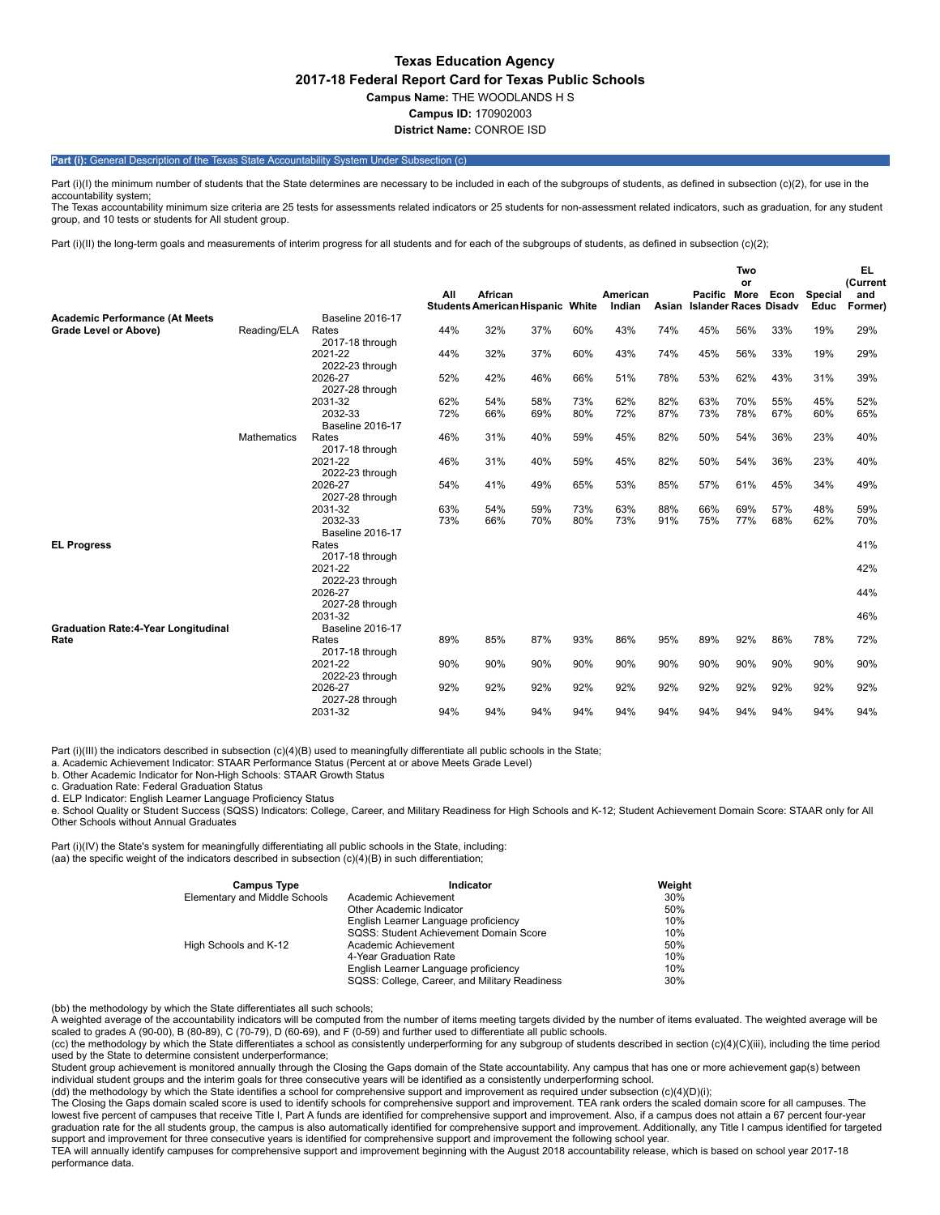# **Texas Education Agency 2017-18 Federal Report Card for Texas Public Schools Campus Name:** THE WOODLANDS H S **Campus ID:** 170902003

**District Name:** CONROE ISD

## **Part (i):** General Description of the Texas State Accountability System Under Subsection (c)

Part (i)(I) the minimum number of students that the State determines are necessary to be included in each of the subgroups of students, as defined in subsection (c)(2), for use in the accountability system: The Texas accountability minimum size criteria are 25 tests for assessments related indicators or 25 students for non-assessment related indicators, such as graduation, for any student

group, and 10 tests or students for All student group.

Part (i)(II) the long-term goals and measurements of interim progress for all students and for each of the subgroups of students, as defined in subsection (c)(2);

|                                                    |                    |                                    | All | African                                 |     |     | American |       | Pacific More                 | Two<br>or | Econ | Special | <b>EL</b><br>(Current<br>and |
|----------------------------------------------------|--------------------|------------------------------------|-----|-----------------------------------------|-----|-----|----------|-------|------------------------------|-----------|------|---------|------------------------------|
|                                                    |                    |                                    |     | <b>Students American Hispanic White</b> |     |     | Indian   | Asian | <b>Islander Races Disadv</b> |           |      | Educ    | Former)                      |
| <b>Academic Performance (At Meets</b>              |                    | <b>Baseline 2016-17</b>            |     |                                         |     |     |          |       |                              |           |      |         |                              |
| Grade Level or Above)                              | Reading/ELA        | Rates<br>2017-18 through           | 44% | 32%                                     | 37% | 60% | 43%      | 74%   | 45%                          | 56%       | 33%  | 19%     | 29%                          |
|                                                    |                    | 2021-22<br>2022-23 through         | 44% | 32%                                     | 37% | 60% | 43%      | 74%   | 45%                          | 56%       | 33%  | 19%     | 29%                          |
|                                                    |                    | 2026-27<br>2027-28 through         | 52% | 42%                                     | 46% | 66% | 51%      | 78%   | 53%                          | 62%       | 43%  | 31%     | 39%                          |
|                                                    |                    | 2031-32                            | 62% | 54%                                     | 58% | 73% | 62%      | 82%   | 63%                          | 70%       | 55%  | 45%     | 52%                          |
|                                                    |                    | 2032-33<br><b>Baseline 2016-17</b> | 72% | 66%                                     | 69% | 80% | 72%      | 87%   | 73%                          | 78%       | 67%  | 60%     | 65%                          |
|                                                    | <b>Mathematics</b> | Rates<br>2017-18 through           | 46% | 31%                                     | 40% | 59% | 45%      | 82%   | 50%                          | 54%       | 36%  | 23%     | 40%                          |
|                                                    |                    | 2021-22<br>2022-23 through         | 46% | 31%                                     | 40% | 59% | 45%      | 82%   | 50%                          | 54%       | 36%  | 23%     | 40%                          |
|                                                    |                    | 2026-27<br>2027-28 through         | 54% | 41%                                     | 49% | 65% | 53%      | 85%   | 57%                          | 61%       | 45%  | 34%     | 49%                          |
|                                                    |                    | 2031-32                            | 63% | 54%                                     | 59% | 73% | 63%      | 88%   | 66%                          | 69%       | 57%  | 48%     | 59%                          |
|                                                    |                    | 2032-33<br><b>Baseline 2016-17</b> | 73% | 66%                                     | 70% | 80% | 73%      | 91%   | 75%                          | 77%       | 68%  | 62%     | 70%                          |
| <b>EL Progress</b>                                 |                    | Rates<br>2017-18 through           |     |                                         |     |     |          |       |                              |           |      |         | 41%                          |
|                                                    |                    | 2021-22<br>2022-23 through         |     |                                         |     |     |          |       |                              |           |      |         | 42%                          |
|                                                    |                    | 2026-27<br>2027-28 through         |     |                                         |     |     |          |       |                              |           |      |         | 44%                          |
|                                                    |                    | 2031-32<br><b>Baseline 2016-17</b> |     |                                         |     |     |          |       |                              |           |      |         | 46%                          |
| <b>Graduation Rate:4-Year Longitudinal</b><br>Rate |                    | Rates<br>2017-18 through           | 89% | 85%                                     | 87% | 93% | 86%      | 95%   | 89%                          | 92%       | 86%  | 78%     | 72%                          |
|                                                    |                    | 2021-22<br>2022-23 through         | 90% | 90%                                     | 90% | 90% | 90%      | 90%   | 90%                          | 90%       | 90%  | 90%     | 90%                          |
|                                                    |                    | 2026-27<br>2027-28 through         | 92% | 92%                                     | 92% | 92% | 92%      | 92%   | 92%                          | 92%       | 92%  | 92%     | 92%                          |
|                                                    |                    | 2031-32                            | 94% | 94%                                     | 94% | 94% | 94%      | 94%   | 94%                          | 94%       | 94%  | 94%     | 94%                          |

Part (i)(III) the indicators described in subsection (c)(4)(B) used to meaningfully differentiate all public schools in the State;

a. Academic Achievement Indicator: STAAR Performance Status (Percent at or above Meets Grade Level)

b. Other Academic Indicator for Non-High Schools: STAAR Growth Status

c. Graduation Rate: Federal Graduation Status

d. ELP Indicator: English Learner Language Proficiency Status

e. School Quality or Student Success (SQSS) Indicators: College, Career, and Military Readiness for High Schools and K-12; Student Achievement Domain Score: STAAR only for All Other Schools without Annual Graduates

Part (i)(IV) the State's system for meaningfully differentiating all public schools in the State, including: (aa) the specific weight of the indicators described in subsection (c)(4)(B) in such differentiation;

| <b>Campus Type</b>            | Indicator                                     | Weight |
|-------------------------------|-----------------------------------------------|--------|
| Elementary and Middle Schools | Academic Achievement                          | 30%    |
|                               | Other Academic Indicator                      | 50%    |
|                               | English Learner Language proficiency          | 10%    |
|                               | SQSS: Student Achievement Domain Score        | 10%    |
| High Schools and K-12         | Academic Achievement                          | 50%    |
|                               | 4-Year Graduation Rate                        | 10%    |
|                               | English Learner Language proficiency          | 10%    |
|                               | SQSS: College, Career, and Military Readiness | 30%    |

(bb) the methodology by which the State differentiates all such schools;

A weighted average of the accountability indicators will be computed from the number of items meeting targets divided by the number of items evaluated. The weighted average will be scaled to grades A (90-00), B (80-89), C (70-79), D (60-69), and F (0-59) and further used to differentiate all public schools.

(cc) the methodology by which the State differentiates a school as consistently underperforming for any subgroup of students described in section (c)(4)(C)(iii), including the time period used by the State to determine consistent underperformance;

Student group achievement is monitored annually through the Closing the Gaps domain of the State accountability. Any campus that has one or more achievement gap(s) between<br>individual student groups and the interim goals fo

The Closing the Gaps domain scaled score is used to identify schools for comprehensive support and improvement. TEA rank orders the scaled domain score for all campuses. The lowest five percent of campuses that receive Title I, Part A funds are identified for comprehensive support and improvement. Also, if a campus does not attain a 67 percent four-year<br>graduation rate for the all students gro support and improvement for three consecutive years is identified for comprehensive support and improvement the following school year.

TEA will annually identify campuses for comprehensive support and improvement beginning with the August 2018 accountability release, which is based on school year 2017-18 performance data.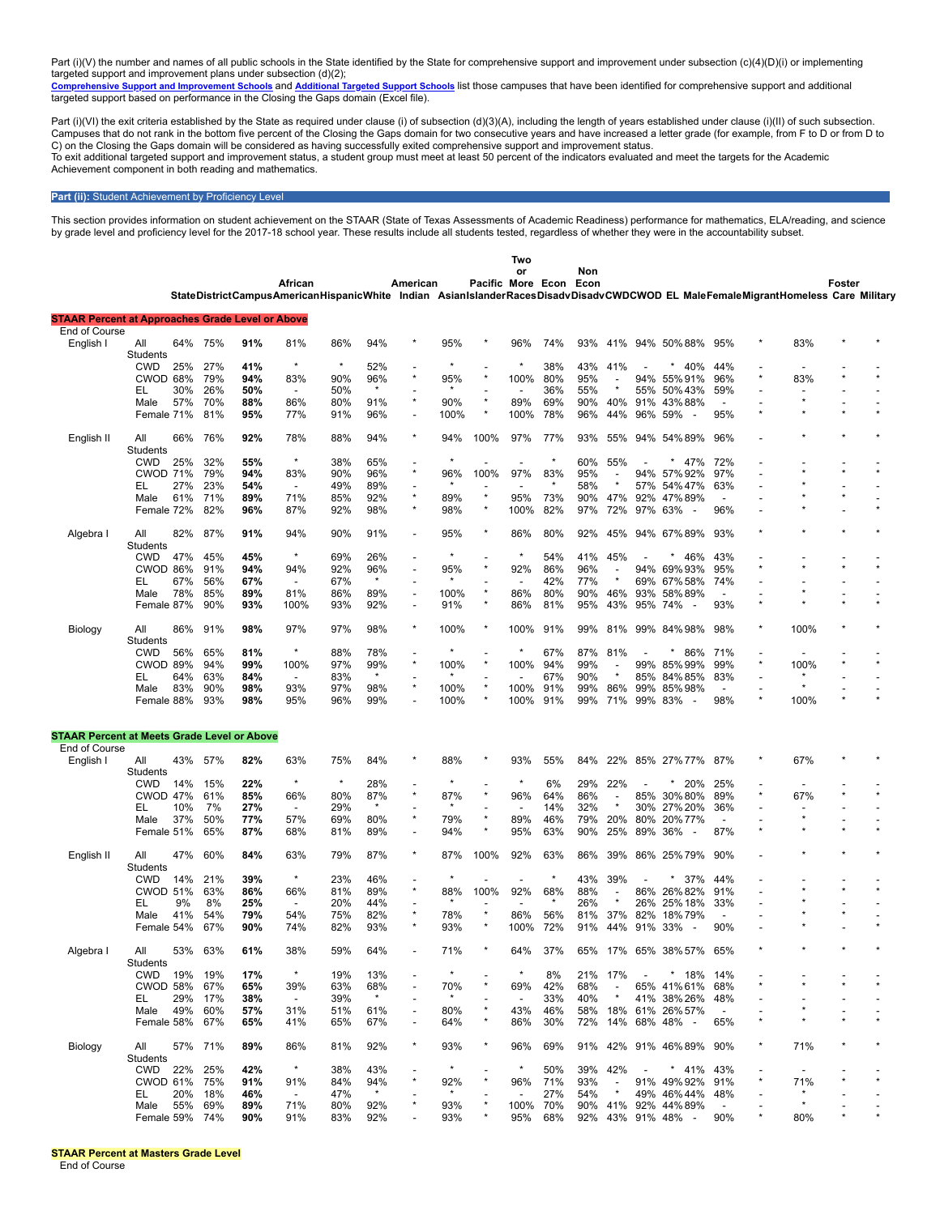Part (i)(V) the number and names of all public schools in the State identified by the State for comprehensive support and improvement under subsection (c)(4)(D)(i) or implementing targeted support and improvement plans under subsection (d)(2);<br><u>[Comprehensive](https://tea.texas.gov/WorkArea/DownloadAsset.aspx?id=51539624659) Support and Improvement Schools</u> and <u>[Additional](https://tea.texas.gov/WorkArea/DownloadAsset.aspx?id=51539624660) Targeted Support Schools</u> list those campuses that have been identified for comprehensive supp

targeted support based on performance in the Closing the Gaps domain (Excel file).

Part (i)(VI) the exit criteria established by the State as required under clause (i) of subsection (d)(3)(A), including the length of years established under clause (i)(II) of such subsection. Campuses that do not rank in the bottom five percent of the Closing the Gaps domain for two consecutive years and have increased a letter grade (for example, from F to D or from D to C) on the Closing the Gaps domain will be considered as having successfully exited comprehensive support and improvement status. To exit additional targeted support and improvement status, a student group must meet at least 50 percent of the indicators evaluated and meet the targets for the Academic Achievement component in both reading and mathematics.

## **Part (ii):** Student Achievement by Proficiency Level

This section provides information on student achievement on the STAAR (State of Texas Assessments of Academic Readiness) performance for mathematics, ELA/reading, and science<br>by grade level and proficiency level for the 20

|                                                                          |                 |     |            |     |                                                                                                                                  |            |         |                          |                |                   | Two                      |         |             |                          |                          |                                           |                          |         |         |         |
|--------------------------------------------------------------------------|-----------------|-----|------------|-----|----------------------------------------------------------------------------------------------------------------------------------|------------|---------|--------------------------|----------------|-------------------|--------------------------|---------|-------------|--------------------------|--------------------------|-------------------------------------------|--------------------------|---------|---------|---------|
|                                                                          |                 |     |            |     | African                                                                                                                          |            |         | American                 |                | Pacific More Econ | or                       |         | Non<br>Econ |                          |                          |                                           |                          |         | Foster  |         |
|                                                                          |                 |     |            |     | StateDistrictCampusAmericanHispanicWhite Indian AsianIslanderRacesDisadvDisadvCWDCWOD EL MaleFemaleMigrantHomeless Care Military |            |         |                          |                |                   |                          |         |             |                          |                          |                                           |                          |         |         |         |
|                                                                          |                 |     |            |     |                                                                                                                                  |            |         |                          |                |                   |                          |         |             |                          |                          |                                           |                          |         |         |         |
| <b>STAAR Percent at Approaches Grade Level or Above</b><br>End of Course |                 |     |            |     |                                                                                                                                  |            |         |                          |                |                   |                          |         |             |                          |                          |                                           |                          |         |         |         |
| English I                                                                | All             | 64% | 75%        | 91% | 81%                                                                                                                              | 86%        | 94%     |                          | 95%            |                   | 96%                      | 74%     | 93%         |                          |                          | 41% 94% 50%88%                            | 95%                      | 83%     |         |         |
|                                                                          | Students        |     |            |     |                                                                                                                                  |            |         |                          |                |                   |                          |         |             |                          |                          |                                           |                          |         |         |         |
|                                                                          | CWD             | 25% | 27%        | 41% | $\star$                                                                                                                          | $\star$    | 52%     |                          | $\star$        |                   |                          | 38%     | 43%         | 41%                      |                          | 40%                                       | 44%                      |         |         |         |
|                                                                          | CWOD 68%        |     | 79%        | 94% | 83%                                                                                                                              | 90%        | 96%     | $\star$                  | 95%            | $\star$           | 100%                     | 80%     | 95%         | $\overline{a}$           | 94%                      | 55%91%                                    | 96%                      | 83%     |         |         |
|                                                                          | EL              | 30% | 26%        | 50% | $\overline{\phantom{a}}$                                                                                                         | 50%        | $\star$ |                          |                |                   |                          | 36%     | 55%         | $\star$                  | 55%                      | 50%43%                                    | 59%                      |         |         |         |
|                                                                          | Male            | 57% | 70%        | 88% | 86%                                                                                                                              | 80%        | 91%     | $\star$                  | 90%            | $\star$           | 89%                      | 69%     | 90%         | 40%                      | 91%                      | 43%88%                                    |                          |         |         |         |
|                                                                          | Female 71%      |     | 81%        | 95% | 77%                                                                                                                              | 91%        | 96%     | $\overline{\phantom{a}}$ | 100%           | $\ast$            | 100%                     | 78%     | 96%         | 44%                      | 96%                      | 59%                                       | 95%                      |         |         |         |
|                                                                          |                 |     |            |     |                                                                                                                                  |            |         | $\star$                  |                |                   |                          |         |             |                          |                          |                                           |                          |         |         |         |
| English II                                                               | All             | 66% | 76%        | 92% | 78%                                                                                                                              | 88%        | 94%     |                          | 94%            | 100%              | 97%                      | 77%     | 93%         | 55%                      | 94%                      | 54%89%                                    | 96%                      |         |         |         |
|                                                                          | Students<br>CWD |     |            | 55% | $\star$                                                                                                                          | 38%        | 65%     | $\overline{\phantom{a}}$ | $\star$        |                   |                          | $\star$ | 60%         | 55%                      |                          | 47%                                       | 72%                      |         |         |         |
|                                                                          | <b>CWOD 71%</b> | 25% | 32%<br>79% | 94% | 83%                                                                                                                              |            | 96%     | $\star$                  |                | 100%              | 97%                      | 83%     |             |                          | 94%                      |                                           | 97%                      |         |         |         |
|                                                                          | EL              | 27% | 23%        | 54% | $\overline{\phantom{a}}$                                                                                                         | 90%<br>49% | 89%     | $\overline{\phantom{a}}$ | 96%            |                   |                          |         | 95%<br>58%  | $\star$                  | 57%                      | 57%92%<br>54% 47%                         | 63%                      |         |         |         |
|                                                                          |                 |     | 71%        | 89% | 71%                                                                                                                              |            | 92%     | $\star$                  | 89%            | $\star$           |                          | 73%     |             | 47%                      |                          |                                           |                          |         |         |         |
|                                                                          | Male            | 61% | 82%        | 96% | 87%                                                                                                                              | 85%        |         | $\star$                  |                | $\star$           | 95%<br>100%              | 82%     | 90%<br>97%  | 72%                      | 92%                      | 47%89%<br>63%<br>$\overline{\phantom{a}}$ | 96%                      |         |         |         |
|                                                                          | Female 72%      |     |            |     |                                                                                                                                  | 92%        | 98%     |                          | 98%            |                   |                          |         |             |                          | 97%                      |                                           |                          |         |         |         |
| Algebra I                                                                | All             | 82% | 87%        | 91% | 94%                                                                                                                              | 90%        | 91%     | $\overline{\phantom{a}}$ | 95%            | ×                 | 86%                      | 80%     | 92%         | 45%                      |                          | 94% 67% 89%                               | 93%                      |         |         |         |
|                                                                          | Students        |     |            |     |                                                                                                                                  |            |         |                          |                |                   |                          |         |             |                          |                          |                                           |                          |         |         |         |
|                                                                          | CWD             | 47% | 45%        | 45% | $\star$                                                                                                                          | 69%        | 26%     | $\overline{a}$           | $\star$        |                   | $\star$                  | 54%     | 41%         | 45%                      |                          | 46%                                       | 43%                      |         |         |         |
|                                                                          | CWOD 86%        |     | 91%        | 94% | 94%                                                                                                                              | 92%        | 96%     | $\overline{a}$           | 95%            |                   | 92%                      | 86%     | 96%         | $\overline{\phantom{a}}$ | 94%                      | 69%93%                                    | 95%                      |         |         |         |
|                                                                          | EL              | 67% | 56%        | 67% |                                                                                                                                  | 67%        | $\star$ |                          |                |                   |                          | 42%     | 77%         |                          |                          | 69% 67% 58%                               | 74%                      |         |         |         |
|                                                                          | Male            | 78% | 85%        | 89% | 81%                                                                                                                              | 86%        | 89%     | $\overline{\phantom{a}}$ | 100%           | $\star$           | 86%                      | 80%     | 90%         | 46%                      | 93%                      | 58%89%                                    |                          |         |         |         |
|                                                                          | Female 87%      |     | 90%        | 93% | 100%                                                                                                                             | 93%        | 92%     | $\overline{\phantom{a}}$ | 91%            | $\star$           | 86%                      | 81%     | 95%         | 43%                      | 95% 74%                  | $\overline{\phantom{a}}$                  | 93%                      |         |         |         |
|                                                                          |                 |     |            |     |                                                                                                                                  |            |         |                          |                |                   |                          |         |             |                          |                          |                                           |                          |         |         |         |
| Biology                                                                  | All             | 86% | 91%        | 98% | 97%                                                                                                                              | 97%        | 98%     | $\star$                  | 100%           |                   | 100%                     | 91%     | 99%         | 81%                      | 99%                      | 84%98%                                    | 98%                      | 100%    |         |         |
|                                                                          | Students        |     |            |     |                                                                                                                                  |            |         |                          |                |                   |                          |         |             |                          |                          |                                           |                          |         |         |         |
|                                                                          | <b>CWD</b>      | 56% | 65%        | 81% |                                                                                                                                  | 88%        | 78%     | $\overline{\phantom{a}}$ |                |                   |                          | 67%     | 87%         | 81%                      |                          | 86%                                       | 71%                      |         |         |         |
|                                                                          | <b>CWOD 89%</b> |     | 94%        | 99% | 100%                                                                                                                             | 97%        | 99%     | $\star$                  | 100%           | $\star$           | 100%                     | 94%     | 99%         | $\overline{a}$           | 99%                      | 85%99%                                    | 99%                      | 100%    |         |         |
|                                                                          | EL              | 64% | 63%        | 84% | $\overline{\phantom{a}}$                                                                                                         | 83%        | $\star$ | $\overline{a}$           |                |                   |                          | 67%     | 90%         | $\star$                  | 85%                      | 84%85%                                    | 83%                      |         |         |         |
|                                                                          | Male            | 83% | 90%        | 98% | 93%                                                                                                                              | 97%        | 98%     | $\star$                  | 100%           | $\star$           | 100%                     | 91%     | 99%         | 86%                      | 99%                      | 85%98%                                    |                          |         |         |         |
|                                                                          | Female 88%      |     | 93%        | 98% | 95%                                                                                                                              | 96%        | 99%     | $\overline{\phantom{a}}$ | 100%           | $\star$           | 100%                     | 91%     | 99%         | 71%                      | 99% 83%                  |                                           | 98%                      | 100%    | $\star$ |         |
|                                                                          |                 |     |            |     |                                                                                                                                  |            |         |                          |                |                   |                          |         |             |                          |                          |                                           |                          |         |         |         |
| <b>STAAR Percent at Meets Grade Level or Above</b>                       |                 |     |            |     |                                                                                                                                  |            |         |                          |                |                   |                          |         |             |                          |                          |                                           |                          |         |         |         |
| End of Course                                                            |                 |     |            |     |                                                                                                                                  |            |         |                          |                |                   |                          |         |             |                          |                          |                                           |                          |         |         |         |
| English I                                                                | All             | 43% | 57%        | 82% | 63%                                                                                                                              | 75%        | 84%     |                          | 88%            |                   | 93%                      | 55%     | 84%         | 22%                      |                          | 85% 27% 77%                               | 87%                      | 67%     |         |         |
|                                                                          | Students        |     |            |     |                                                                                                                                  |            |         |                          |                |                   |                          |         |             |                          |                          |                                           |                          |         |         |         |
|                                                                          | <b>CWD</b>      | 14% | 15%        | 22% | $\star$                                                                                                                          | $\star$    | 28%     |                          |                |                   |                          | 6%      | 29%         | 22%                      |                          | 20%                                       | 25%                      |         |         |         |
|                                                                          | <b>CWOD 47%</b> |     | 61%        | 85% | 66%                                                                                                                              | 80%        | 87%     | $\star$                  | 87%            | $\star$           | 96%                      | 64%     | 86%         | $\overline{a}$           | 85%                      | 30%80%                                    | 89%                      | 67%     |         |         |
|                                                                          | EL              | 10% | 7%         | 27% | $\overline{\phantom{a}}$                                                                                                         | 29%        | $\star$ |                          | $\star$        |                   | $\overline{\phantom{a}}$ | 14%     | 32%         | $\star$                  |                          | 30% 27% 20%                               | 36%                      |         |         |         |
|                                                                          | Male            | 37% | 50%        | 77% | 57%                                                                                                                              | 69%        | 80%     | $\star$                  | 79%            | $\star$           | 89%                      | 46%     | 79%         | 20%                      | 80%                      | 20%77%                                    |                          |         |         |         |
|                                                                          | Female 51%      |     | 65%        | 87% | 68%                                                                                                                              | 81%        | 89%     | $\overline{a}$           | 94%            | $\star$           | 95%                      | 63%     | 90%         | 25%                      | 89%                      | 36%<br>$\overline{\phantom{a}}$           | 87%                      |         |         |         |
|                                                                          |                 |     |            |     |                                                                                                                                  |            |         |                          |                |                   |                          |         |             |                          |                          |                                           |                          |         |         |         |
| English II                                                               | All             | 47% | 60%        | 84% | 63%                                                                                                                              | 79%        | 87%     | $\star$                  | 87%            | 100%              | 92%                      | 63%     | 86%         | 39%                      |                          | 86% 25% 79%                               | 90%                      |         |         |         |
|                                                                          | Students        |     |            |     |                                                                                                                                  |            |         |                          |                |                   |                          |         |             |                          |                          |                                           |                          |         |         |         |
|                                                                          | CWD             | 14% | 21%        | 39% | $\star$                                                                                                                          | 23%        | 46%     | $\overline{a}$           | $\star$        |                   |                          | $\star$ | 43%         | 39%                      |                          | 37%                                       | 44%                      |         |         |         |
|                                                                          | <b>CWOD 51%</b> |     | 63%        | 86% | 66%                                                                                                                              | 81%        | 89%     | $\star$                  | 88%            | 100%              | 92%                      | 68%     | 88%         | $\overline{a}$           |                          | 86% 26% 82%                               | 91%                      |         |         |         |
|                                                                          | EL              | 9%  | 8%         | 25% |                                                                                                                                  | 20%        | 44%     |                          |                |                   |                          |         | 26%         | $\star$                  | 26%                      | 25% 18%                                   | 33%                      |         |         |         |
|                                                                          | Male            | 41% | 54%        | 79% | 54%                                                                                                                              | 75%        | 82%     | $\star$                  | 78%            | $\star$           | 86%                      | 56%     | 81%         | 37%                      | 82%                      | 18%79%                                    |                          |         |         |         |
|                                                                          | Female 54%      |     | 67%        | 90% | 74%                                                                                                                              | 82%        | 93%     | $\star$                  | 93%            | $\star$           | 100%                     | 72%     | 91%         | 44%                      | 91% 33%                  | $\overline{\phantom{a}}$                  | 90%                      |         |         |         |
|                                                                          |                 |     |            |     |                                                                                                                                  |            |         |                          |                |                   |                          |         |             |                          |                          |                                           |                          |         |         |         |
| Algebra I                                                                | All             |     | 53% 63%    | 61% | 38%                                                                                                                              | 59%        | 64%     |                          | 71%            |                   | 64%                      | 37%     |             |                          |                          | 65% 17% 65% 38% 57% 65%                   |                          |         |         |         |
|                                                                          | <b>Students</b> |     |            |     |                                                                                                                                  |            |         |                          |                |                   |                          |         |             |                          |                          |                                           |                          |         |         |         |
|                                                                          | <b>CWD</b>      |     | 19% 19%    | 17% | $\star$                                                                                                                          | 19%        | 13%     |                          |                |                   |                          | 8%      |             | 21% 17%                  | $\overline{\phantom{a}}$ | $*18%$                                    | 14%                      |         |         |         |
|                                                                          | <b>CWOD 58%</b> |     | 67%        | 65% | 39%                                                                                                                              | 63%        | 68%     |                          | 70%            |                   | 69%                      | 42%     | 68%         | $\overline{\phantom{a}}$ |                          | 65% 41% 61%                               | 68%                      |         |         |         |
|                                                                          | EL.             | 29% | 17%        | 38% | $\overline{\phantom{a}}$                                                                                                         | 39%        | $\star$ | $\overline{\phantom{a}}$ | $\star$        |                   | $\overline{\phantom{a}}$ | 33%     | 40%         | $\star$                  |                          | 41% 38% 26%                               | 48%                      |         |         |         |
|                                                                          | Male            | 49% | 60%        | 57% | 31%                                                                                                                              | 51%        | 61%     | $\overline{\phantom{a}}$ | 80%            |                   | 43%                      | 46%     |             |                          |                          | 58% 18% 61% 26% 57%                       | $\overline{\phantom{a}}$ |         |         |         |
|                                                                          | Female 58%      |     | 67%        | 65% | 41%                                                                                                                              | 65%        | 67%     | $\overline{a}$           | 64%            |                   | 86%                      | 30%     | 72%         |                          |                          | 14% 68% 48% -                             | 65%                      |         |         |         |
|                                                                          |                 |     |            |     |                                                                                                                                  |            |         |                          |                |                   |                          |         |             |                          |                          |                                           |                          |         |         |         |
| Biology                                                                  | ail             |     | 57% 71%    | 89% | 86%                                                                                                                              | 81%        | 92%     | $\star$                  | 93%            |                   | 96%                      | 69%     |             |                          |                          | 91% 42% 91% 46% 89%                       | 90%                      | 71%     |         |         |
|                                                                          | Students        |     |            |     | $\star$                                                                                                                          |            |         |                          | $\star$        |                   | $\star$                  |         |             |                          |                          |                                           |                          |         |         |         |
|                                                                          | CWD             | 22% | 25%        | 42% |                                                                                                                                  | 38%        | 43%     | $\star$                  |                |                   |                          | 50%     | 39%         | 42%<br>$\overline{a}$    |                          | * $41%$                                   | 43%                      |         |         |         |
|                                                                          | CWOD 61%        |     | 75%        | 91% | 91%                                                                                                                              | 84%        | 94%     |                          | 92%<br>$\star$ |                   | 96%                      | 71%     | 93%         | $\star$                  |                          | 91% 49% 92%                               | 91%                      | 71%     |         |         |
|                                                                          | EL.             | 20% | 18%        | 46% | $\sim$                                                                                                                           | 47%        |         |                          |                |                   |                          | 27%     | 54%         |                          |                          | 49% 46% 44%                               | 48%                      | $\star$ |         |         |
|                                                                          | Male            | 55% | 69%        | 89% | 71%                                                                                                                              | 80%        | 92%     |                          | 93%            |                   | 100% 70%                 |         |             |                          |                          | 90% 41% 92% 44%89%                        |                          |         | $\star$ | $\star$ |
|                                                                          | Female 59% 74%  |     |            | 90% | 91%                                                                                                                              | 83%        | 92%     |                          | 93%            |                   | 95%                      | 68%     |             |                          |                          | 92% 43% 91% 48% -                         | 90%                      | 80%     |         |         |

**STAAR Percent at Masters Grade Level**

End of Course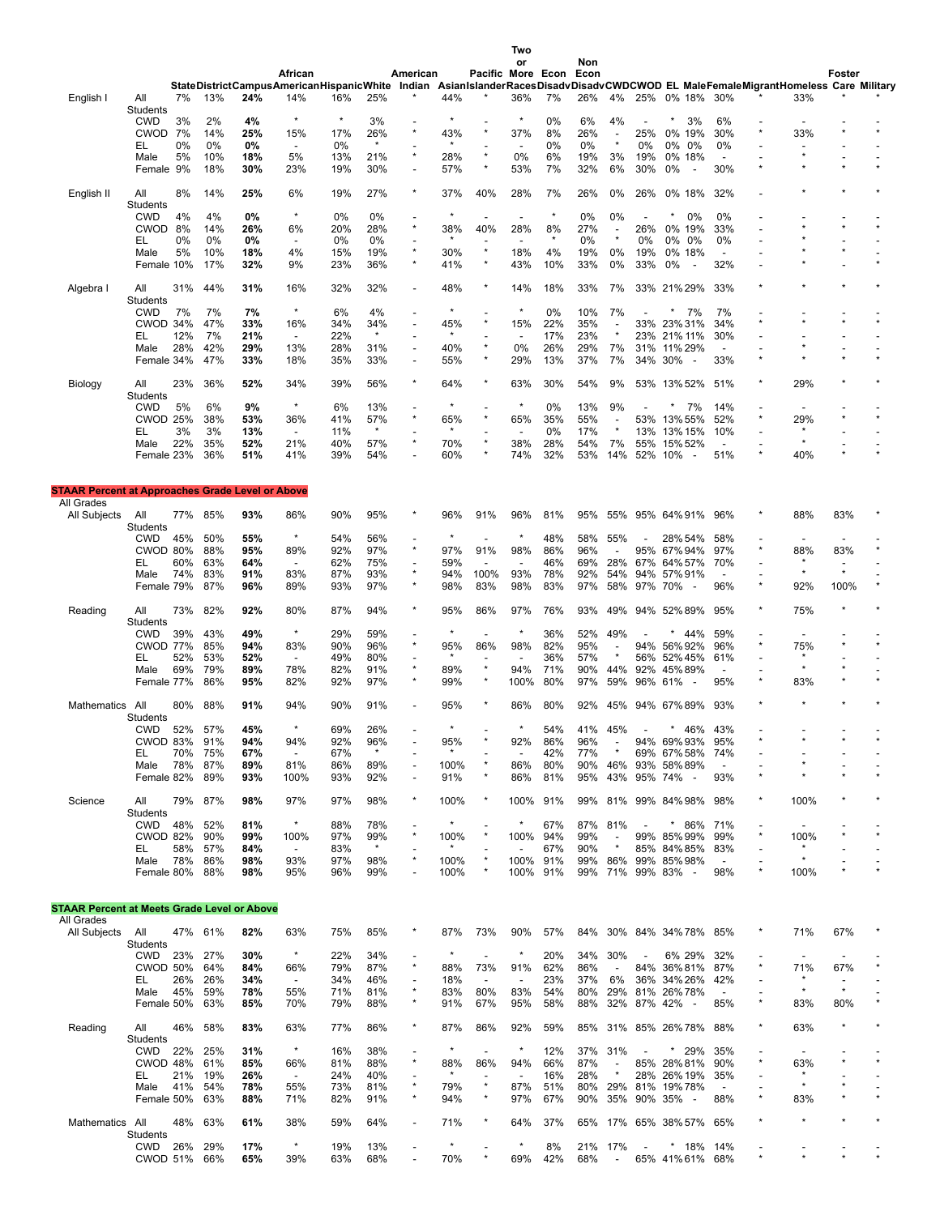|                                                         |                       |          |            |            |                                  |            |                |                           |                 |                                     | Two<br>or                |                        | Non        |                          |                |                                                                                                                                  |                          |          |                          |                           |  |
|---------------------------------------------------------|-----------------------|----------|------------|------------|----------------------------------|------------|----------------|---------------------------|-----------------|-------------------------------------|--------------------------|------------------------|------------|--------------------------|----------------|----------------------------------------------------------------------------------------------------------------------------------|--------------------------|----------|--------------------------|---------------------------|--|
|                                                         |                       |          |            |            | African                          |            |                | American                  |                 |                                     |                          | Pacific More Econ Econ |            |                          |                |                                                                                                                                  |                          |          |                          | Foster                    |  |
|                                                         |                       |          |            |            |                                  |            |                |                           |                 |                                     |                          |                        |            |                          |                | StateDistrictCampusAmericanHispanicWhite Indian AsianIslanderRacesDisadvDisadvCWDCWOD EL MaleFemaleMigrantHomeless Care Military |                          |          |                          |                           |  |
| English I                                               | All                   | 7%       | 13%        | 24%        | 14%                              | 16%        | 25%            |                           | 44%             |                                     | 36%                      | 7%                     | 26%        | 4%                       |                | 25% 0% 18% 30%                                                                                                                   |                          |          | 33%                      |                           |  |
|                                                         | Students              |          |            |            | $\star$                          | $\star$    |                |                           |                 |                                     | $\star$                  |                        |            |                          |                |                                                                                                                                  |                          |          |                          |                           |  |
|                                                         | <b>CWD</b>            | 3%       | 2%         | 4%         |                                  |            | 3%             | $\star$                   |                 | $\star$                             |                          | 0%                     | 6%         | 4%                       |                | 3%                                                                                                                               | 6%                       | $\star$  |                          |                           |  |
|                                                         | <b>CWOD</b><br>EL     | 7%<br>0% | 14%<br>0%  | 25%<br>0%  | 15%<br>$\overline{\phantom{a}}$  | 17%<br>0%  | 26%            |                           | 43%             | $\overline{\phantom{a}}$            | 37%                      | 8%<br>0%               | 26%<br>0%  |                          | 25%<br>0%      | 0% 19%<br>0%<br>0%                                                                                                               | 30%<br>0%                |          | 33%                      |                           |  |
|                                                         | Male                  | 5%       | 10%        | 18%        | 5%                               | 13%        | 21%            | $\star$                   | 28%             | $\star$                             | 0%                       | 6%                     | 19%        | 3%                       | 19%            | 0% 18%                                                                                                                           | $\overline{\phantom{a}}$ |          |                          |                           |  |
|                                                         | Female 9%             |          | 18%        | 30%        | 23%                              | 19%        | 30%            |                           | 57%             | $\star$                             | 53%                      | 7%                     | 32%        | 6%                       | 30%            | 0%<br>$\overline{\phantom{a}}$                                                                                                   | 30%                      |          |                          |                           |  |
|                                                         |                       |          |            |            |                                  |            |                |                           |                 |                                     |                          |                        |            |                          |                |                                                                                                                                  |                          |          |                          |                           |  |
| English II                                              | All                   | 8%       | 14%        | 25%        | 6%                               | 19%        | 27%            |                           | 37%             | 40%                                 | 28%                      | 7%                     | 26%        | 0%                       | 26%            | 0% 18%                                                                                                                           | 32%                      |          |                          |                           |  |
|                                                         | Students              |          |            |            |                                  |            |                |                           |                 |                                     |                          |                        |            |                          |                |                                                                                                                                  |                          |          |                          |                           |  |
|                                                         | <b>CWD</b>            | 4%       | 4%         | 0%         | $\star$                          | 0%         | $0\%$          |                           | ×               | $\overline{\phantom{a}}$            |                          | ×                      | 0%         | 0%                       |                | 0%                                                                                                                               | 0%                       |          |                          |                           |  |
|                                                         | <b>CWOD</b>           | 8%       | 14%        | 26%        | 6%                               | 20%        | 28%            | $\star$                   | 38%             | 40%                                 | 28%                      | 8%                     | 27%        | $\overline{\phantom{a}}$ | 26%            | 0% 19%                                                                                                                           | 33%                      |          |                          |                           |  |
|                                                         | EL                    | 0%       | $0\%$      | 0%         | $\overline{\phantom{a}}$         | 0%         | 0%             |                           |                 |                                     |                          |                        | 0%         |                          | 0%             | 0%<br>0%                                                                                                                         | 0%                       |          |                          |                           |  |
|                                                         | Male                  | 5%       | 10%        | 18%        | 4%                               | 15%        | 19%            | $\star$                   | 30%             | $\star$                             | 18%                      | 4%                     | 19%        | 0%                       | 19%            | 0% 18%                                                                                                                           | $\overline{a}$           |          |                          |                           |  |
|                                                         | Female 10%            |          | 17%        | 32%        | 9%                               | 23%        | 36%            | $\star$                   | 41%             | $\star$                             | 43%                      | 10%                    | 33%        | 0%                       | 33%            | 0%<br>$\overline{\phantom{a}}$                                                                                                   | 32%                      |          |                          |                           |  |
|                                                         | All                   | 31%      | 44%        | 31%        | 16%                              | 32%        | 32%            | $\overline{a}$            | 48%             | ×                                   | 14%                      | 18%                    | 33%        | 7%                       |                | 33% 21% 29%                                                                                                                      | 33%                      |          |                          |                           |  |
| Algebra I                                               | Students              |          |            |            |                                  |            |                |                           |                 |                                     |                          |                        |            |                          |                |                                                                                                                                  |                          |          |                          |                           |  |
|                                                         | CWD                   | 7%       | 7%         | 7%         | $\star$                          | 6%         | 4%             |                           |                 | ÷                                   | $\star$                  | 0%                     | 10%        | 7%                       |                | 7%                                                                                                                               | 7%                       |          |                          |                           |  |
|                                                         | CWOD 34%              |          | 47%        | 33%        | 16%                              | 34%        | 34%            |                           | 45%             | $\star$                             | 15%                      | 22%                    | 35%        |                          |                | 33% 23% 31%                                                                                                                      | 34%                      |          |                          |                           |  |
|                                                         | EL                    | 12%      | 7%         | 21%        | $\blacksquare$                   | 22%        | $\star$        |                           | $\star$         | ٠                                   | $\overline{\phantom{a}}$ | 17%                    | 23%        |                          |                | 23% 21% 11%                                                                                                                      | 30%                      |          |                          |                           |  |
|                                                         | Male                  | 28%      | 42%        | 29%        | 13%                              | 28%        | 31%            | $\overline{\phantom{a}}$  | 40%             | $\star$                             | 0%                       | 26%                    | 29%        | 7%                       | 31%            | 11% 29%                                                                                                                          | $\overline{\phantom{a}}$ |          |                          |                           |  |
|                                                         | Female 34%            |          | 47%        | 33%        | 18%                              | 35%        | 33%            | $\overline{a}$            | 55%             | $\star$                             | 29%                      | 13%                    | 37%        | 7%                       | 34%            | 30%<br>$\overline{\phantom{a}}$                                                                                                  | 33%                      |          |                          |                           |  |
|                                                         |                       |          |            |            |                                  |            |                |                           |                 |                                     |                          |                        |            |                          |                |                                                                                                                                  |                          |          |                          |                           |  |
| Biology                                                 | All                   | 23%      | 36%        | 52%        | 34%                              | 39%        | 56%            |                           | 64%             | $\star$                             | 63%                      | 30%                    | 54%        | 9%                       |                | 53% 13% 52%                                                                                                                      | 51%                      | $\star$  | 29%                      |                           |  |
|                                                         | Students              |          |            |            |                                  |            |                |                           |                 |                                     |                          |                        |            |                          |                |                                                                                                                                  |                          |          |                          |                           |  |
|                                                         | <b>CWD</b>            | 5%       | 6%         | 9%         | $\star$                          | 6%         | 13%            |                           | $\star$         | ٠                                   | $\star$                  | 0%                     | 13%        | 9%                       |                | 7%                                                                                                                               | 14%                      |          |                          |                           |  |
|                                                         | <b>CWOD 25%</b>       |          | 38%        | 53%        | 36%                              | 41%        | 57%            | $\star$                   | 65%             | $\star$                             | 65%                      | 35%                    | 55%        |                          | 53%            | 13% 55%                                                                                                                          | 52%                      | $^\star$ | 29%                      |                           |  |
|                                                         | EL                    | 3%       | 3%         | 13%        | $\overline{\phantom{a}}$         | 11%        | $\star$        |                           |                 | $\overline{a}$                      |                          | 0%                     | 17%        |                          | 13%            | 13% 15%                                                                                                                          | 10%                      |          |                          |                           |  |
|                                                         | Male                  | 22%      | 35%        | 52%        | 21%                              | 40%        | 57%            | $\star$                   | 70%             | $\star$                             | 38%                      | 28%                    | 54%        | 7%                       | 55%            | 15% 52%                                                                                                                          |                          |          |                          |                           |  |
|                                                         | Female 23%            |          | 36%        | 51%        | 41%                              | 39%        | 54%            |                           | 60%             | ×                                   | 74%                      | 32%                    | 53%        | 14%                      | 52% 10%        | $\overline{a}$                                                                                                                   | 51%                      | $\star$  | 40%                      |                           |  |
|                                                         |                       |          |            |            |                                  |            |                |                           |                 |                                     |                          |                        |            |                          |                |                                                                                                                                  |                          |          |                          |                           |  |
| <b>STAAR Percent at Approaches Grade Level or Above</b> |                       |          |            |            |                                  |            |                |                           |                 |                                     |                          |                        |            |                          |                |                                                                                                                                  |                          |          |                          |                           |  |
| All Grades                                              |                       |          |            |            |                                  |            |                |                           |                 |                                     |                          |                        |            |                          |                |                                                                                                                                  |                          |          |                          |                           |  |
| All Subjects                                            | All                   | 77%      | 85%        | 93%        | 86%                              | 90%        | 95%            |                           | 96%             | 91%                                 | 96%                      | 81%                    | 95%        | 55%                      |                | 95% 64% 91%                                                                                                                      | 96%                      |          | 88%                      | 83%                       |  |
|                                                         | Students              |          |            |            |                                  |            |                |                           |                 |                                     |                          |                        |            |                          |                |                                                                                                                                  |                          |          |                          |                           |  |
|                                                         | CWD                   | 45%      | 50%        | 55%        | $\star$                          | 54%        | 56%            |                           |                 | $\overline{\phantom{a}}$            |                          | 48%                    | 58%        | 55%                      |                | 28% 54%                                                                                                                          | 58%                      |          | $\overline{\phantom{a}}$ |                           |  |
|                                                         | <b>CWOD 80%</b>       |          | 88%        | 95%        | 89%                              | 92%        | 97%            | $\star$                   | 97%             | 91%                                 | 98%                      | 86%                    | 96%        |                          |                | 95% 67% 94%                                                                                                                      | 97%                      | $\star$  | 88%                      | 83%                       |  |
|                                                         | EL                    | 60%      | 63%        | 64%        |                                  | 62%        | 75%            |                           | 59%             |                                     |                          | 46%                    | 69%        | 28%                      | 67%            | 64% 57%                                                                                                                          | 70%                      |          | $\star$                  |                           |  |
|                                                         | Male                  | 74%      | 83%        | 91%        | 83%                              | 87%        | 93%            | $\star$                   | 94%             | 100%                                | 93%                      | 78%                    | 92%        | 54%                      | 94%            | 57%91%                                                                                                                           |                          |          | $\star$                  | $\star$                   |  |
|                                                         | Female 79%            |          | 87%        | 96%        | 89%                              | 93%        | 97%            | $\star$                   | 98%             | 83%                                 | 98%                      | 83%                    | 97%        | 58%                      | 97% 70%        |                                                                                                                                  | 96%                      | $\star$  | 92%                      | 100%                      |  |
|                                                         |                       |          |            |            |                                  |            |                |                           |                 |                                     |                          |                        |            |                          |                |                                                                                                                                  |                          |          |                          |                           |  |
| Reading                                                 | All                   | 73%      | 82%        | 92%        | 80%                              | 87%        | 94%            |                           | 95%             | 86%                                 | 97%                      | 76%                    | 93%        | 49%                      |                | 94% 52% 89%                                                                                                                      | 95%                      |          | 75%                      |                           |  |
|                                                         | Students              |          |            |            | $\star$                          |            |                |                           |                 |                                     |                          |                        |            |                          |                |                                                                                                                                  |                          |          |                          |                           |  |
|                                                         | <b>CWD</b>            | 39%      | 43%        | 49%        |                                  | 29%        | 59%            | $\star$                   |                 | ÷                                   |                          | 36%                    | 52%        | 49%                      |                | 44%                                                                                                                              | 59%                      | $\star$  |                          |                           |  |
|                                                         | <b>CWOD 77%</b>       |          | 85%        | 94%        | 83%                              | 90%        | 96%            |                           | 95%<br>$\star$  | 86%                                 | 98%                      | 82%                    | 95%        |                          |                | 94% 56% 92%                                                                                                                      | 96%                      |          | 75%<br>$\star$           |                           |  |
|                                                         | EL                    | 52%      | 53%        | 52%        | $\overline{\phantom{a}}$         | 49%        | 80%            | $\star$                   |                 | $\overline{\phantom{a}}$<br>$\star$ |                          | 36%                    | 57%        |                          |                | 56% 52%45%                                                                                                                       | 61%                      |          | $\star$                  |                           |  |
|                                                         | Male<br>Female 77%    | 69%      | 79%<br>86% | 89%<br>95% | 78%<br>82%                       | 82%<br>92% | 91%<br>97%     | $\star$                   | 89%<br>99%      | $^\star$                            | 94%<br>100%              | 71%<br>80%             | 90%<br>97% | 44%<br>59%               | 92%<br>96% 61% | 45%89%                                                                                                                           | $\overline{a}$<br>95%    | $\star$  | 83%                      |                           |  |
|                                                         |                       |          |            |            |                                  |            |                |                           |                 |                                     |                          |                        |            |                          |                |                                                                                                                                  |                          |          |                          |                           |  |
| Mathematics                                             | All                   | 80%      | 88%        | 91%        | 94%                              | 90%        | 91%            |                           | 95%             |                                     | 86%                      | 80%                    | 92%        | 45%                      |                | 94% 67% 89%                                                                                                                      | 93%                      |          |                          |                           |  |
|                                                         | Students              |          |            |            |                                  |            |                |                           |                 |                                     |                          |                        |            |                          |                |                                                                                                                                  |                          |          |                          |                           |  |
|                                                         | CWD                   | 52%      | 57%        | 45%        | $^\star$                         | 69%        | 26%            |                           |                 |                                     |                          | 54%                    | 41%        | 45%                      |                | 46%                                                                                                                              | 43%                      |          |                          |                           |  |
|                                                         | <b>CWOD 83%</b>       |          | 91%        | 94%        | 94%                              | 92%        | 96%            |                           | 95%             |                                     | 92%                      | 86%                    | 96%        |                          |                | 94% 69%93%                                                                                                                       | 95%                      |          |                          |                           |  |
|                                                         | EL                    | 70%      | 75%        | 67%        | $\overline{\phantom{a}}$         | 67%        |                |                           |                 |                                     | $\overline{\phantom{a}}$ | 42%                    | 77%        |                          |                | 69% 67% 58%                                                                                                                      | 74%                      |          |                          |                           |  |
|                                                         | Male                  | 78%      | 87%        | 89%        | 81%                              | 86%        | 89%            |                           | 100%            |                                     | 86%                      | 80%                    | 90%        | 46%                      | 93%            | 58%89%                                                                                                                           |                          |          |                          |                           |  |
|                                                         | Female 82%            |          | 89%        | 93%        | 100%                             | 93%        | 92%            |                           | 91%             | ×                                   | 86%                      | 81%                    | 95%        | 43%                      |                | 95% 74% -                                                                                                                        | 93%                      |          |                          |                           |  |
|                                                         |                       |          |            |            |                                  |            |                |                           |                 |                                     |                          |                        |            |                          |                |                                                                                                                                  |                          |          |                          |                           |  |
| Science                                                 | All                   | 79%      | 87%        | 98%        | 97%                              | 97%        | 98%            | $\star$                   | 100%            | $\ast$                              | 100%                     | 91%                    | 99%        |                          |                | 81% 99% 84% 98%                                                                                                                  | 98%                      | *        | 100%                     |                           |  |
|                                                         | Students              |          |            |            | $\star$                          |            |                |                           |                 |                                     |                          |                        |            |                          |                |                                                                                                                                  |                          |          |                          |                           |  |
|                                                         | <b>CWD</b>            | 48%      | 52%        | 81%        |                                  | 88%        | 78%            |                           |                 | $\star$                             | 100%                     | 67%                    | 87%<br>99% | 81%                      |                | * 86%                                                                                                                            | 71%                      | $\star$  |                          |                           |  |
|                                                         | <b>CWOD 82%</b><br>EL | 58%      | 90%<br>57% | 99%<br>84% | 100%<br>$\overline{\phantom{a}}$ | 97%<br>83% | 99%<br>$\star$ |                           | 100%<br>$\star$ |                                     |                          | 94%<br>67%             | 90%        |                          | 99%<br>85%     | 85%99%<br>84%85%                                                                                                                 | 99%<br>83%               |          | 100%<br>$\ast$           |                           |  |
|                                                         | Male                  | 78%      | 86%        | 98%        | 93%                              | 97%        | 98%            |                           | 100%            |                                     | 100%                     | 91%                    | 99%        | 86%                      |                | 99% 85% 98%                                                                                                                      | $\overline{\phantom{a}}$ |          |                          |                           |  |
|                                                         | Female 80%            |          | 88%        | 98%        | 95%                              | 96%        | 99%            |                           | 100%            | $\star$                             | 100%                     | 91%                    | 99%        | 71%                      |                | 99% 83% -                                                                                                                        | 98%                      | $\star$  | 100%                     |                           |  |
|                                                         |                       |          |            |            |                                  |            |                |                           |                 |                                     |                          |                        |            |                          |                |                                                                                                                                  |                          |          |                          |                           |  |
|                                                         |                       |          |            |            |                                  |            |                |                           |                 |                                     |                          |                        |            |                          |                |                                                                                                                                  |                          |          |                          |                           |  |
| <b>STAAR Percent at Meets Grade Level or Above</b>      |                       |          |            |            |                                  |            |                |                           |                 |                                     |                          |                        |            |                          |                |                                                                                                                                  |                          |          |                          |                           |  |
| All Grades                                              |                       |          |            |            |                                  |            |                |                           |                 |                                     |                          |                        |            |                          |                |                                                                                                                                  |                          |          |                          |                           |  |
| All Subjects                                            | All                   |          | 47% 61%    | 82%        | 63%                              | 75%        | 85%            |                           | 87%             | 73%                                 | 90%                      | 57%                    | 84%        |                          |                | 30% 84% 34% 78%                                                                                                                  | 85%                      |          | 71%                      | 67%                       |  |
|                                                         | Students              |          |            |            |                                  |            |                |                           | $\star$         |                                     |                          |                        |            |                          |                |                                                                                                                                  |                          |          |                          |                           |  |
|                                                         | CWD                   | 23%      | 27%        | 30%        | $\star$                          | 22%        | 34%            |                           |                 | $\overline{a}$                      | $\star$                  | 20%                    | 34%        | 30%                      |                | 6% 29%                                                                                                                           | 32%                      | $\star$  |                          |                           |  |
|                                                         | <b>CWOD 50%</b>       |          | 64%        | 84%        | 66%                              | 79%        | 87%            | $\star$                   | 88%             | 73%                                 | 91%                      | 62%                    | 86%        |                          |                | 84% 36% 81%                                                                                                                      | 87%                      |          | 71%<br>$\star$           | 67%                       |  |
|                                                         | EL                    | 26%      | 26%        | 34%        | $\overline{\phantom{a}}$         | 34%        | 46%            | $\overline{a}$<br>$\star$ | 18%             | $\overline{\phantom{a}}$            | $\overline{a}$           | 23%                    | 37%        | 6%                       |                | 36% 34% 26%                                                                                                                      | 42%                      |          | $\star$                  | $\overline{a}$<br>$\star$ |  |
|                                                         | Male                  | 45%      | 59%        | 78%        | 55%                              | 71%        | 81%            | $\star$                   | 83%             | 80%                                 | 83%                      | 54%                    | 80%        | 29%                      |                | 81% 26% 78%                                                                                                                      | $\blacksquare$           | $\star$  |                          |                           |  |
|                                                         | Female 50%            |          | 63%        | 85%        | 70%                              | 79%        | 88%            |                           | 91%             | 67%                                 | 95%                      | 58%                    | 88%        |                          |                | 32% 87% 42% -                                                                                                                    | 85%                      |          | 83%                      | 80%                       |  |
|                                                         | All                   | 46%      | 58%        | 83%        | 63%                              | 77%        | 86%            | $\star$                   | 87%             | 86%                                 | 92%                      | 59%                    | 85%        |                          |                | 31% 85% 26% 78%                                                                                                                  | 88%                      | $\star$  | 63%                      |                           |  |
| Reading                                                 | Students              |          |            |            |                                  |            |                |                           |                 |                                     |                          |                        |            |                          |                |                                                                                                                                  |                          |          |                          |                           |  |
|                                                         | <b>CWD</b>            | 22%      | 25%        | 31%        | $\star$                          | 16%        | 38%            |                           | $\star$         | $\overline{\phantom{a}}$            | $\star$                  | 12%                    | 37%        | 31%                      |                | $*29%$                                                                                                                           | 35%                      |          |                          |                           |  |
|                                                         | CWOD 48%              |          | 61%        | 85%        | 66%                              | 81%        | 88%            | $\star$                   | 88%             | 86%                                 | 94%                      | 66%                    | 87%        |                          |                | 85% 28% 81%                                                                                                                      | 90%                      | $\star$  | 63%                      |                           |  |
|                                                         | EL                    | 21%      | 19%        | 26%        | $\overline{\phantom{a}}$         | 24%        | 40%            |                           |                 | $\overline{\phantom{0}}$            | $\overline{\phantom{a}}$ | 16%                    | 28%        |                          |                | 28% 26% 19%                                                                                                                      | 35%                      |          |                          |                           |  |
|                                                         | Male                  | 41%      | 54%        | 78%        | 55%                              | 73%        | 81%            | $\star$                   | 79%             | $\star$                             | 87%                      | 51%                    | 80%        | 29%                      |                | 81% 19%78%                                                                                                                       | $\overline{\phantom{a}}$ |          |                          |                           |  |
|                                                         | Female 50%            |          | 63%        | 88%        | 71%                              | 82%        | 91%            | $\star$                   | 94%             | $^\star$                            | 97%                      | 67%                    | 90%        |                          |                | 35% 90% 35% -                                                                                                                    | 88%                      | $\star$  | 83%                      |                           |  |
|                                                         |                       |          |            |            |                                  |            |                |                           |                 |                                     |                          |                        |            |                          |                |                                                                                                                                  |                          |          |                          |                           |  |
| Mathematics All                                         |                       | 48%      | 63%        | 61%        | 38%                              | 59%        | 64%            |                           | 71%             | $^{\star}$                          | 64%                      | 37%                    |            |                          |                | 65% 17% 65% 38% 57%                                                                                                              | 65%                      |          |                          |                           |  |
|                                                         | Students              |          |            |            |                                  |            |                |                           |                 |                                     |                          |                        |            |                          |                |                                                                                                                                  |                          |          |                          |                           |  |
|                                                         | CWD                   | 26%      | 29%        | 17%        | $\star$                          | 19%        | 13%            |                           | ×               | $\overline{\phantom{a}}$            |                          | 8%                     | 21%        | 17%                      |                | * 18%                                                                                                                            | 14%                      |          |                          |                           |  |
|                                                         | CWOD 51% 66%          |          |            | 65%        | 39%                              | 63%        | 68%            |                           | 70%             | $\star$                             | 69%                      | 42%                    | 68%        | $\overline{\phantom{a}}$ |                | 65% 41% 61% 68%                                                                                                                  |                          |          |                          |                           |  |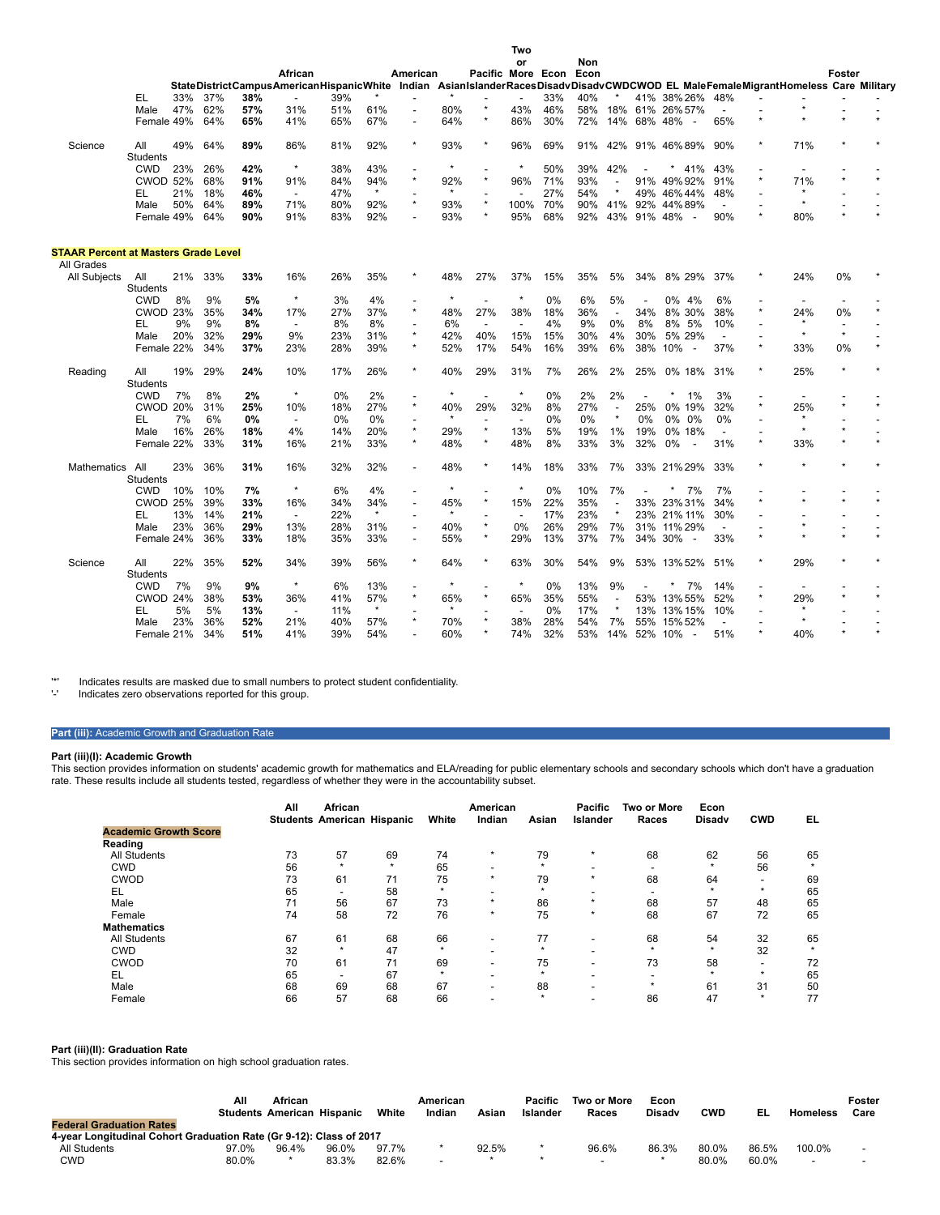|                                             |                        |     |     |       |                                                                                                                                  |     |                |                          |                |                          | or             |     | Non |                          |             |                                     |                          |                           |                          |         |  |
|---------------------------------------------|------------------------|-----|-----|-------|----------------------------------------------------------------------------------------------------------------------------------|-----|----------------|--------------------------|----------------|--------------------------|----------------|-----|-----|--------------------------|-------------|-------------------------------------|--------------------------|---------------------------|--------------------------|---------|--|
|                                             |                        |     |     |       | African                                                                                                                          |     |                | American                 |                | Pacific More Econ Econ   |                |     |     |                          |             |                                     |                          |                           |                          | Foster  |  |
|                                             |                        |     |     |       | StateDistrictCampusAmericanHispanicWhite Indian AsianIslanderRacesDisadvDisadvCWDCWOD EL MaleFemaleMigrantHomeless Care Military |     |                |                          |                |                          |                |     |     |                          |             |                                     |                          |                           |                          |         |  |
|                                             | EL                     | 33% | 37% | 38%   | $\overline{\phantom{a}}$                                                                                                         | 39% |                |                          |                |                          |                | 33% | 40% |                          |             | 41% 38% 26%                         | 48%                      |                           |                          |         |  |
|                                             | Male                   | 47% | 62% | 57%   | 31%                                                                                                                              | 51% | 61%            |                          | 80%            | $\star$                  | 43%            | 46% | 58% |                          |             | 18% 61% 26% 57%                     | $\overline{\phantom{0}}$ |                           |                          |         |  |
|                                             | Female 49%             |     | 64% | 65%   | 41%                                                                                                                              | 65% | 67%            | $\overline{\phantom{0}}$ | 64%            | $\star$                  | 86%            | 30% | 72% |                          | 14% 68% 48% | $\overline{\phantom{a}}$            | 65%                      | $\star$                   |                          |         |  |
| Science                                     | All                    | 49% | 64% | 89%   | 86%                                                                                                                              | 81% | 92%            | $\star$                  | 93%            | $\star$                  | 96%            | 69% | 91% | 42%                      |             | 91% 46% 89%                         | 90%                      | $\star$                   | 71%                      |         |  |
|                                             | <b>Students</b>        |     |     |       | $\star$                                                                                                                          |     |                |                          | $\star$        |                          | $\star$        |     |     |                          |             |                                     |                          |                           |                          |         |  |
|                                             | <b>CWD</b>             | 23% | 26% | 42%   |                                                                                                                                  | 38% | 43%            | $\star$                  |                | ÷<br>$\star$             |                | 50% | 39% | 42%                      |             | 41%                                 | 43%                      | $\overline{a}$<br>$\star$ |                          |         |  |
|                                             | <b>CWOD 52%</b>        |     | 68% | 91%   | 91%                                                                                                                              | 84% | 94%<br>$\star$ |                          | 92%<br>$\star$ |                          | 96%            | 71% | 93% |                          | 91%         | 49% 92%                             | 91%                      |                           | 71%<br>$\star$           |         |  |
|                                             | EL                     | 21% | 18% | 46%   | $\overline{\phantom{a}}$                                                                                                         | 47% |                | $\star$                  |                | $\star$                  |                | 27% | 54% |                          | 49%         | 46%44%                              | 48%                      |                           |                          |         |  |
|                                             | Male                   | 50% | 64% | 89%   | 71%                                                                                                                              | 80% | 92%            |                          | 93%            | $\star$                  | 100%           | 70% | 90% | 41%                      |             | 92% 44% 89%                         | $\overline{a}$           | $\star$                   |                          |         |  |
|                                             | Female 49%             |     | 64% | 90%   | 91%                                                                                                                              | 83% | 92%            |                          | 93%            |                          | 95%            | 68% | 92% | 43%                      | 91% 48%     | $\overline{\phantom{a}}$            | 90%                      |                           | 80%                      |         |  |
| <b>STAAR Percent at Masters Grade Level</b> |                        |     |     |       |                                                                                                                                  |     |                |                          |                |                          |                |     |     |                          |             |                                     |                          |                           |                          |         |  |
| All Grades                                  |                        |     |     |       |                                                                                                                                  |     |                |                          |                |                          |                |     |     |                          |             |                                     |                          |                           |                          |         |  |
| All Subjects                                | All<br><b>Students</b> | 21% | 33% | 33%   | 16%                                                                                                                              | 26% | 35%            |                          | 48%            | 27%                      | 37%            | 15% | 35% | 5%                       | 34%         | 8% 29%                              | 37%                      | $\star$                   | 24%                      | 0%      |  |
|                                             | <b>CWD</b>             | 8%  | 9%  | 5%    | $\star$                                                                                                                          | 3%  | 4%             |                          | $\star$        |                          | $\star$        | 0%  | 6%  | 5%                       |             | 0% 4%                               | 6%                       |                           |                          |         |  |
|                                             | <b>CWOD 23%</b>        |     | 35% | 34%   | 17%                                                                                                                              | 27% | 37%            | $\star$                  | 48%            | 27%                      | 38%            | 18% | 36% | $\overline{\phantom{a}}$ | 34%         | 8% 30%                              | 38%                      | $\star$                   | 24%                      | 0%      |  |
|                                             | EL                     | 9%  | 9%  | 8%    | $\overline{\phantom{a}}$                                                                                                         | 8%  | 8%             |                          | 6%             | $\blacksquare$           |                | 4%  | 9%  | $0\%$                    | 8%          | 8% 5%                               | 10%                      |                           | $\star$                  |         |  |
|                                             | Male                   | 20% | 32% | 29%   | 9%                                                                                                                               | 23% | 31%            | $\star$                  | 42%            | 40%                      | 15%            | 15% | 30% | 4%                       | 30%         | 5% 29%                              | $\overline{\phantom{a}}$ |                           | $\star$                  | $\star$ |  |
|                                             | Female 22%             |     | 34% | 37%   | 23%                                                                                                                              | 28% | 39%            | $\star$                  | 52%            | 17%                      | 54%            | 16% | 39% | 6%                       | 38%         | 10%<br>$\overline{\phantom{a}}$     | 37%                      | $\star$                   | 33%                      | 0%      |  |
| Reading                                     | All<br><b>Students</b> | 19% | 29% | 24%   | 10%                                                                                                                              | 17% | 26%            | $\star$                  | 40%            | 29%                      | 31%            | 7%  | 26% | 2%                       | 25%         | 0% 18%                              | 31%                      | $\star$                   | 25%                      |         |  |
|                                             | <b>CWD</b>             | 7%  | 8%  | 2%    | $\star$                                                                                                                          | 0%  | 2%             | $\overline{\phantom{0}}$ |                | ÷,                       |                | 0%  | 2%  | 2%                       |             | 1%                                  | 3%                       | $\overline{\phantom{a}}$  | $\overline{\phantom{a}}$ |         |  |
|                                             | <b>CWOD 20%</b>        |     | 31% | 25%   | 10%                                                                                                                              | 18% | 27%            | $\star$                  | 40%            | 29%                      | 32%            | 8%  | 27% |                          | 25%         | 0% 19%                              | 32%                      | $\star$                   | 25%                      |         |  |
|                                             | EL                     | 7%  | 6%  | $0\%$ | $\overline{\phantom{a}}$                                                                                                         | 0%  | $0\%$          | $\overline{a}$           | $\star$        | $\overline{\phantom{a}}$ | $\overline{a}$ | 0%  | 0%  |                          | 0%          | 0% 0%                               | 0%                       | $\overline{\phantom{a}}$  | $\star$                  |         |  |
|                                             | Male                   | 16% | 26% | 18%   | 4%                                                                                                                               | 14% | 20%            | $\star$                  | 29%            | $\star$                  | 13%            | 5%  | 19% | 1%                       | 19%         | 0% 18%                              | $\overline{\phantom{a}}$ |                           | $\star$                  |         |  |
|                                             | Female 22%             |     | 33% | 31%   | 16%                                                                                                                              | 21% | 33%            | $\star$                  | 48%            | $\star$                  | 48%            | 8%  | 33% | 3%                       | 32%         | 0%                                  | 31%                      | $\star$                   | 33%                      |         |  |
| <b>Mathematics</b>                          | All                    | 23% | 36% | 31%   | 16%                                                                                                                              | 32% | 32%            | $\overline{\phantom{a}}$ | 48%            | $\star$                  | 14%            | 18% | 33% | 7%                       |             | 33% 21% 29%                         | 33%                      | $\star$                   |                          |         |  |
|                                             | Students               |     |     |       |                                                                                                                                  |     |                |                          |                |                          |                |     |     |                          |             |                                     |                          |                           |                          |         |  |
|                                             | <b>CWD</b>             | 10% | 10% | 7%    | $\star$                                                                                                                          | 6%  | 4%             | $\overline{\phantom{a}}$ |                | ÷,                       |                | 0%  | 10% | 7%                       |             | 7%                                  | 7%                       |                           |                          |         |  |
|                                             | <b>CWOD 25%</b>        |     | 39% | 33%   | 16%                                                                                                                              | 34% | 34%            |                          | 45%            | $\star$                  | 15%            | 22% | 35% |                          |             | 33% 23% 31%                         | 34%                      |                           |                          |         |  |
|                                             | EL                     | 13% | 14% | 21%   | $\overline{\phantom{a}}$                                                                                                         | 22% | $\star$        |                          | $\star$        |                          | $\overline{a}$ | 17% | 23% |                          |             | 23% 21% 11%                         | 30%                      |                           |                          |         |  |
|                                             | Male                   | 23% | 36% | 29%   | 13%                                                                                                                              | 28% | 31%            | $\overline{a}$           | 40%            | $\star$                  | $0\%$          | 26% | 29% | 7%                       |             | 31% 11% 29%                         |                          |                           |                          |         |  |
|                                             | Female 24%             |     | 36% | 33%   | 18%                                                                                                                              | 35% | 33%            | $\overline{\phantom{a}}$ | 55%            | $\star$                  | 29%            | 13% | 37% | 7%                       |             | 34% 30%<br>$\overline{\phantom{a}}$ | 33%                      | $\star$                   |                          |         |  |
| Science                                     | All                    | 22% | 35% | 52%   | 34%                                                                                                                              | 39% | 56%            | $\star$                  | 64%            | $\star$                  | 63%            | 30% | 54% | 9%                       |             | 53% 13%52%                          | 51%                      | $\star$                   | 29%                      |         |  |
|                                             | Students               |     |     |       |                                                                                                                                  |     |                |                          |                |                          |                |     |     |                          |             |                                     |                          |                           |                          |         |  |
|                                             | <b>CWD</b>             | 7%  | 9%  | 9%    | $\star$                                                                                                                          | 6%  | 13%            |                          | $\star$        |                          | $\star$        | 0%  | 13% | 9%                       |             | 7%                                  | 14%                      |                           |                          |         |  |
|                                             | <b>CWOD 24%</b>        |     | 38% | 53%   | 36%                                                                                                                              | 41% | 57%            | $\star$                  | 65%            | $\star$                  | 65%            | 35% | 55% |                          |             | 53% 13% 55%                         | 52%                      | $\star$                   | 29%                      |         |  |
|                                             | EL                     | 5%  | 5%  | 13%   | $\overline{a}$                                                                                                                   | 11% | $\star$        |                          | $\star$        |                          |                | 0%  | 17% |                          | 13%         | 13% 15%                             | 10%                      |                           | $\star$                  |         |  |
|                                             | Male                   | 23% | 36% | 52%   | 21%                                                                                                                              | 40% | 57%            |                          | 70%            |                          | 38%            | 28% | 54% | 7%                       |             | 55% 15% 52%                         |                          |                           |                          |         |  |
|                                             | Female 21%             |     | 34% | 51%   | 41%                                                                                                                              | 39% | 54%            |                          | 60%            |                          | 74%            | 32% | 53% | 14%                      | 52% 10%     | $\overline{\phantom{a}}$            | 51%                      |                           | 40%                      |         |  |

**Two**

'\*' Indicates results are masked due to small numbers to protect student confidentiality. '-' Indicates zero observations reported for this group.

# **Part (iii):** Academic Growth and Graduation Rate

## **Part (iii)(I): Academic Growth**

This section provides information on students' academic growth for mathematics and ELA/reading for public elementary schools and secondary schools which don't have a graduation rate. These results include all students tested, regardless of whether they were in the accountability subset.

|                              | All | African<br><b>Students American Hispanic</b> |         | White   | American<br>Indian       | Asian   | <b>Pacific</b><br><b>Islander</b> | Two or More<br>Races | Econ<br><b>Disadv</b> | <b>CWD</b>               | EL      |
|------------------------------|-----|----------------------------------------------|---------|---------|--------------------------|---------|-----------------------------------|----------------------|-----------------------|--------------------------|---------|
| <b>Academic Growth Score</b> |     |                                              |         |         |                          |         |                                   |                      |                       |                          |         |
| Reading                      |     |                                              |         |         |                          |         |                                   |                      |                       |                          |         |
| All Students                 | 73  | 57                                           | 69      | 74      | $\star$                  | 79      | $\star$                           | 68                   | 62                    | 56                       | 65      |
| <b>CWD</b>                   | 56  | $\star$                                      | $\star$ | 65      | $\overline{\phantom{0}}$ | $\star$ | $\overline{\phantom{0}}$          | -                    | $\star$               | 56                       | $\star$ |
| <b>CWOD</b>                  | 73  | 61                                           | 71      | 75      | $\star$                  | 79      | $\star$                           | 68                   | 64                    | $\overline{\phantom{0}}$ | 69      |
| EL                           | 65  | $\overline{\phantom{a}}$                     | 58      | $\star$ | $\overline{\phantom{0}}$ | $\star$ |                                   | -                    | $\star$               | $\star$                  | 65      |
| Male                         | 71  | 56                                           | 67      | 73      | $\star$                  | 86      | $\star$                           | 68                   | 57                    | 48                       | 65      |
| Female                       | 74  | 58                                           | 72      | 76      | $\star$                  | 75      | $\star$                           | 68                   | 67                    | 72                       | 65      |
| <b>Mathematics</b>           |     |                                              |         |         |                          |         |                                   |                      |                       |                          |         |
| All Students                 | 67  | 61                                           | 68      | 66      | $\overline{\phantom{a}}$ | 77      |                                   | 68                   | 54                    | 32                       | 65      |
| <b>CWD</b>                   | 32  | $\star$                                      | 47      | $\star$ | $\overline{\phantom{0}}$ | $\star$ |                                   | $\star$              | $\star$               | 32                       | $\star$ |
| <b>CWOD</b>                  | 70  | 61                                           | 71      | 69      | $\overline{\phantom{a}}$ | 75      | $\overline{\phantom{a}}$          | 73                   | 58                    | $\overline{\phantom{a}}$ | 72      |
| EL                           | 65  | $\overline{\phantom{0}}$                     | 67      | $\star$ | $\overline{\phantom{0}}$ | $\star$ |                                   | -                    | $\star$               | $\star$                  | 65      |
| Male                         | 68  | 69                                           | 68      | 67      | $\overline{\phantom{0}}$ | 88      |                                   | ÷                    | 61                    | 31                       | 50      |
| Female                       | 66  | 57                                           | 68      | 66      | $\overline{\phantom{0}}$ | $\star$ |                                   | 86                   | 47                    | $\star$                  | 77      |

**Part (iii)(II): Graduation Rate** This section provides information on high school graduation rates.

|                                                                     | Αll   | African<br><b>Students American Hispanic</b> |       | White | American<br>Indian | Asian | <b>Pacific</b><br>Islander | Two or More<br>Races | Econ<br><b>Disady</b> | CWD   | EL    | <b>Homeless</b> | Foster<br>Care |
|---------------------------------------------------------------------|-------|----------------------------------------------|-------|-------|--------------------|-------|----------------------------|----------------------|-----------------------|-------|-------|-----------------|----------------|
| <b>Federal Graduation Rates</b>                                     |       |                                              |       |       |                    |       |                            |                      |                       |       |       |                 |                |
| 4-year Longitudinal Cohort Graduation Rate (Gr 9-12): Class of 2017 |       |                                              |       |       |                    |       |                            |                      |                       |       |       |                 |                |
| All Students                                                        | 97.0% | 96.4%                                        | 96.0% | 97.7% |                    | 92.5% |                            | 96.6%                | 86.3%                 | 80.0% | 86.5% | 100.0%          |                |
| CWD                                                                 | 80.0% |                                              | 83.3% | 82.6% |                    |       |                            |                      |                       | 80.0% | 60.0% |                 |                |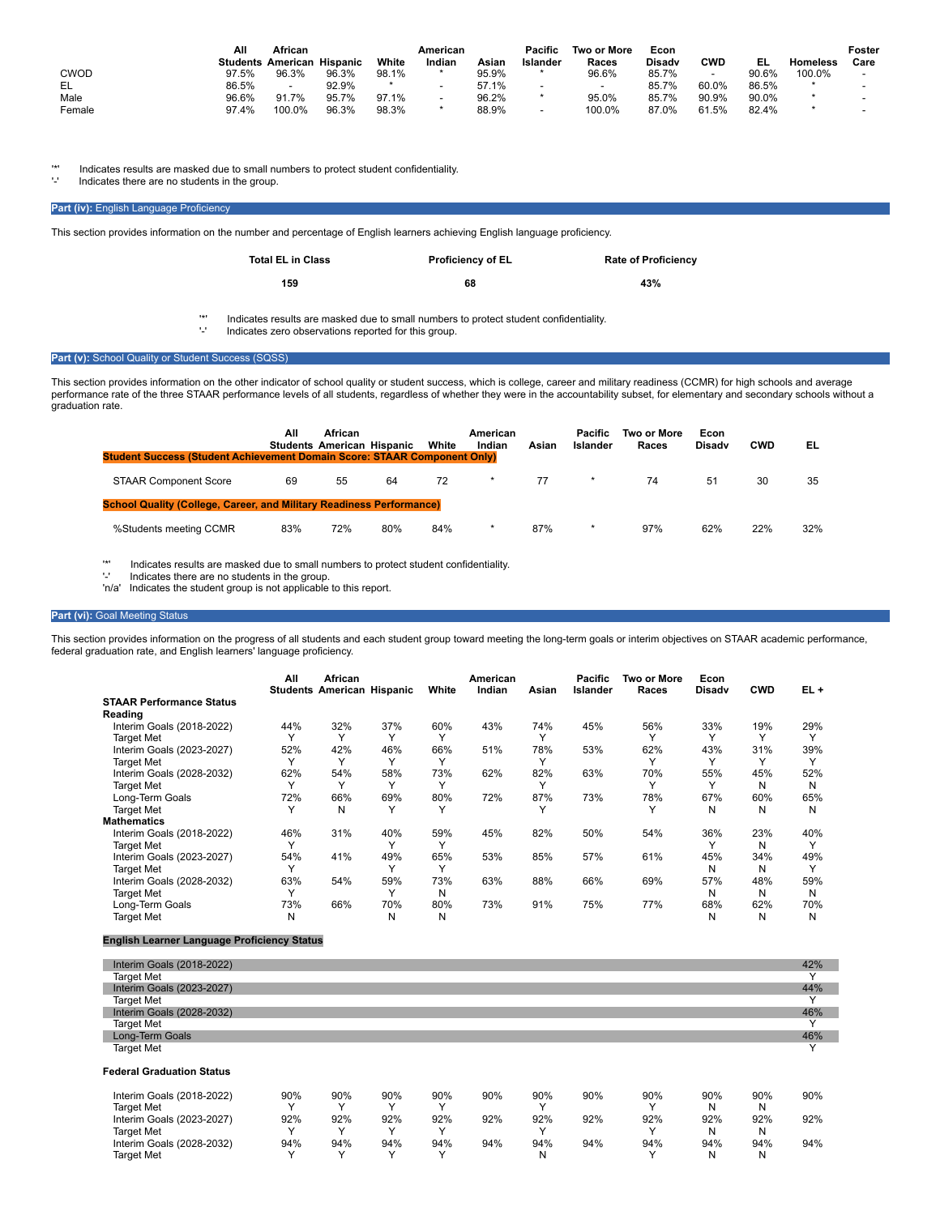|        | All   | African                           |       |         | American |       | Pacific                  | <b>Two or More</b>       | Econ          |       |       |                 | Foster |
|--------|-------|-----------------------------------|-------|---------|----------|-------|--------------------------|--------------------------|---------------|-------|-------|-----------------|--------|
|        |       | <b>Students American Hispanic</b> |       | White   | Indian   | Asian | Islander                 | Races                    | <b>Disady</b> | CWD   | EL    | <b>Homeless</b> | Care   |
| CWOD   | 97.5% | 96.3%                             | 96.3% | 98.1%   |          | 95.9% |                          | 96.6%                    | 85.7%         | ٠     | 90.6% | 100.0%          |        |
| EL     | 86.5% | $\overline{\phantom{0}}$          | 92.9% | $\star$ |          | 57.1% | $\overline{\phantom{0}}$ | $\overline{\phantom{a}}$ | 85.7%         | 60.0% | 86.5% |                 |        |
| Male   | 96.6% | 91.7%                             | 95.7% | 97.1%   |          | 96.2% |                          | 95.0%                    | 85.7%         | 90.9% | 90.0% |                 |        |
| Female | 97.4% | 100.0%                            | 96.3% | 98.3%   |          | 88.9% |                          | 100.0%                   | 87.0%         | 61.5% | 82.4% |                 |        |

'\*' Indicates results are masked due to small numbers to protect student confidentiality.

Indicates there are no students in the group.

## **Part (iv):** English Language Proficiency

This section provides information on the number and percentage of English learners achieving English language proficiency.

| <b>Total EL in Class</b> | <b>Proficiency of EL</b> | <b>Rate of Proficiency</b> |
|--------------------------|--------------------------|----------------------------|
| 159                      | 68                       | 43%                        |

'\*' Indicates results are masked due to small numbers to protect student confidentiality.

Indicates zero observations reported for this group.

## Part (v): School Quality or Student Success (SQSS)

This section provides information on the other indicator of school quality or student success, which is college, career and military readiness (CCMR) for high schools and average performance rate of the three STAAR performance levels of all students, regardless of whether they were in the accountability subset, for elementary and secondary schools without a graduation rate.

| <b>Student Success (Student Achievement Domain Score: STAAR Component Only)</b> | All | African<br><b>Students American Hispanic</b> |     | White | American<br>Indian | Asian | Pacific<br>Islander | Two or More<br>Races | Econ<br><b>Disady</b> | <b>CWD</b> | EL  |
|---------------------------------------------------------------------------------|-----|----------------------------------------------|-----|-------|--------------------|-------|---------------------|----------------------|-----------------------|------------|-----|
| <b>STAAR Component Score</b>                                                    | 69  | 55                                           | 64  | 72    |                    | 77    | $\star$             | 74                   | 51                    | 30         | 35  |
| <b>School Quality (College, Career, and Military Readiness Performance)</b>     |     |                                              |     |       |                    |       |                     |                      |                       |            |     |
| %Students meeting CCMR                                                          | 83% | 72%                                          | 80% | 84%   | *                  | 87%   | $\star$             | 97%                  | 62%                   | 22%        | 32% |

'\*' Indicates results are masked due to small numbers to protect student confidentiality.<br>'-' Indicates there are no students in the group.<br>'n/a' Indicates the student group is not applicable to this report.

## **Part (vi):** Goal Meeting Status

This section provides information on the progress of all students and each student group toward meeting the long-term goals or interim objectives on STAAR academic performance, federal graduation rate, and English learners' language proficiency.

|                                 | All          | <b>African</b><br><b>Students American Hispanic</b> |              | White        | American<br>Indian | Asian        | <b>Pacific</b><br><b>Islander</b> | Two or More<br>Races | Econ<br><b>Disady</b> | <b>CWD</b> | $EL +$       |
|---------------------------------|--------------|-----------------------------------------------------|--------------|--------------|--------------------|--------------|-----------------------------------|----------------------|-----------------------|------------|--------------|
| <b>STAAR Performance Status</b> |              |                                                     |              |              |                    |              |                                   |                      |                       |            |              |
| Reading                         |              |                                                     |              |              |                    |              |                                   |                      |                       |            |              |
| Interim Goals (2018-2022)       | 44%          | 32%                                                 | 37%          | 60%          | 43%                | 74%          | 45%                               | 56%                  | 33%                   | 19%        | 29%          |
| <b>Target Met</b>               |              |                                                     | $\checkmark$ |              |                    | $\checkmark$ |                                   | v                    |                       |            | $\checkmark$ |
| Interim Goals (2023-2027)       | 52%          | 42%                                                 | 46%          | 66%          | 51%                | 78%          | 53%                               | 62%                  | 43%                   | 31%        | 39%          |
| <b>Target Met</b>               |              |                                                     |              |              |                    |              |                                   |                      |                       |            |              |
| Interim Goals (2028-2032)       | 62%          | 54%                                                 | 58%          | 73%          | 62%                | 82%          | 63%                               | 70%                  | 55%                   | 45%        | 52%          |
| <b>Target Met</b>               |              | v                                                   | $\checkmark$ | $\checkmark$ |                    | $\checkmark$ |                                   | $\checkmark$         |                       | Ν          | N            |
| Long-Term Goals                 | 72%          | 66%                                                 | 69%          | 80%          | 72%                | 87%          | 73%                               | 78%                  | 67%                   | 60%        | 65%          |
| <b>Target Met</b>               |              | N                                                   | Υ            |              |                    |              |                                   |                      | N                     | Ν          | N            |
| <b>Mathematics</b>              |              |                                                     |              |              |                    |              |                                   |                      |                       |            |              |
| Interim Goals (2018-2022)       | 46%          | 31%                                                 | 40%          | 59%          | 45%                | 82%          | 50%                               | 54%                  | 36%                   | 23%        | 40%          |
| <b>Target Met</b>               | $\checkmark$ |                                                     | $\checkmark$ |              |                    |              |                                   |                      |                       | N          |              |
| Interim Goals (2023-2027)       | 54%          | 41%                                                 | 49%          | 65%          | 53%                | 85%          | 57%                               | 61%                  | 45%                   | 34%        | 49%          |
| <b>Target Met</b>               |              |                                                     |              |              |                    |              |                                   |                      | N                     | N          |              |
| Interim Goals (2028-2032)       | 63%          | 54%                                                 | 59%          | 73%          | 63%                | 88%          | 66%                               | 69%                  | 57%                   | 48%        | 59%          |
| <b>Target Met</b>               |              |                                                     | $\checkmark$ | N            |                    |              |                                   |                      | N                     | N          | N            |
| Long-Term Goals                 | 73%          | 66%                                                 | 70%          | 80%          | 73%                | 91%          | 75%                               | 77%                  | 68%                   | 62%        | 70%          |
| <b>Target Met</b>               | N            |                                                     | N            | N            |                    |              |                                   |                      | N                     | N          | N            |

## **English Learner Language Proficiency Status**

| Interim Goals (2018-2022)        |             |     |     |              |     |              |     |     |     |     | 42%          |
|----------------------------------|-------------|-----|-----|--------------|-----|--------------|-----|-----|-----|-----|--------------|
| <b>Target Met</b>                |             |     |     |              |     |              |     |     |     |     |              |
| Interim Goals (2023-2027)        |             |     |     |              |     |              |     |     |     |     | 44%          |
| <b>Target Met</b>                |             |     |     |              |     |              |     |     |     |     | $\checkmark$ |
| Interim Goals (2028-2032)        |             |     |     |              |     |              |     |     |     |     | 46%          |
| <b>Target Met</b>                |             |     |     |              |     |              |     |     |     |     |              |
| Long-Term Goals                  |             |     |     |              |     |              |     |     |     |     | 46%          |
| <b>Target Met</b>                |             |     |     |              |     |              |     |     |     |     |              |
| <b>Federal Graduation Status</b> |             |     |     |              |     |              |     |     |     |     |              |
| Interim Goals (2018-2022)        | 90%         | 90% | 90% | 90%          | 90% | 90%          | 90% | 90% | 90% | 90% | 90%          |
| <b>Target Met</b>                |             | ν   |     | $\checkmark$ |     | $\check{ }$  |     |     | N   | N   |              |
| Interim Goals (2023-2027)        | 92%         | 92% | 92% | 92%          | 92% | 92%          | 92% | 92% | 92% | 92% | 92%          |
| <b>Target Met</b>                |             | ν   |     | v            |     | $\checkmark$ |     |     | Ν   | N   |              |
| Interim Goals (2028-2032)        | 94%         | 94% | 94% | 94%          | 94% | 94%          | 94% | 94% | 94% | 94% | 94%          |
| <b>Target Met</b>                | $\check{ }$ | ν   |     | $\checkmark$ |     | N            |     |     | N   | N   |              |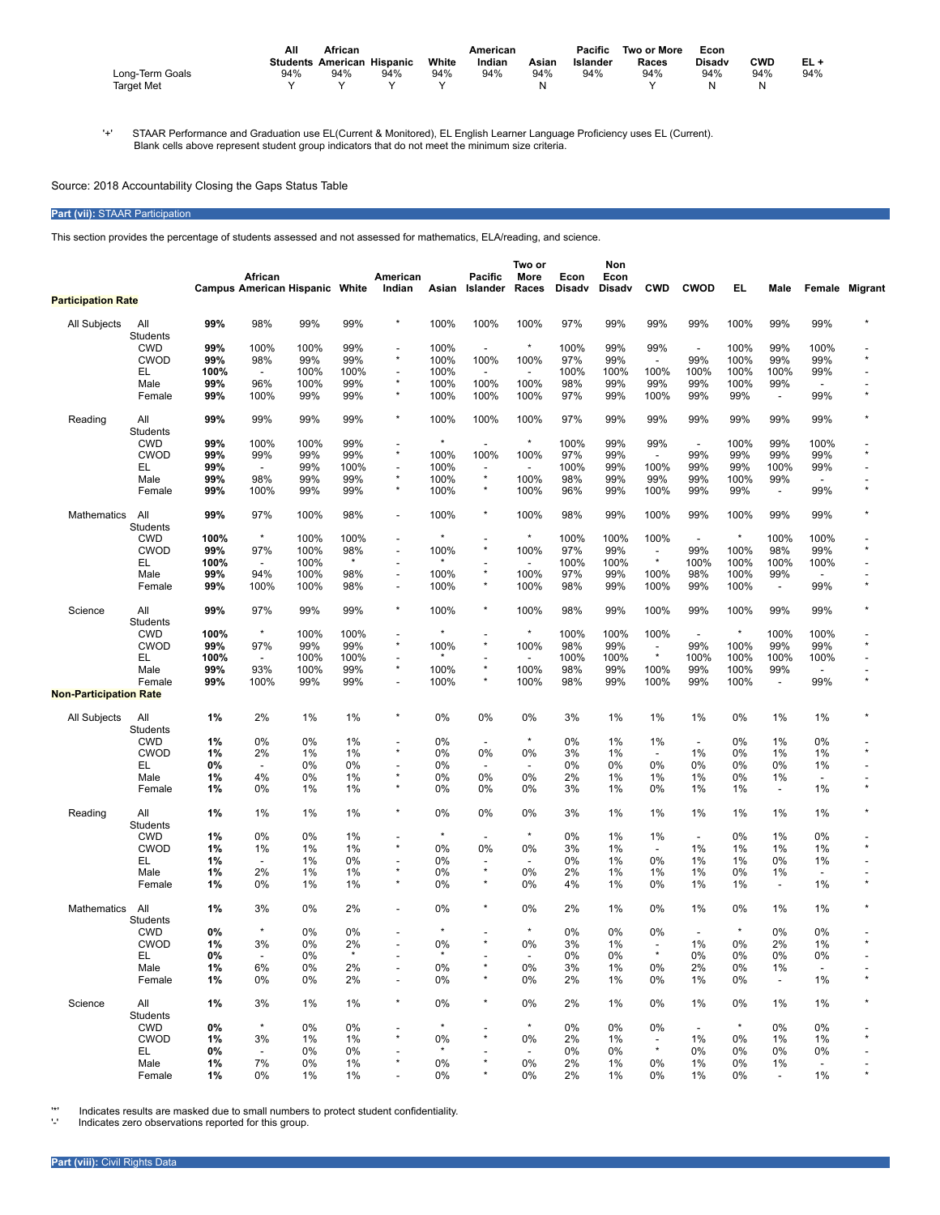|                   | Αll<br>African |                                   |     | American |        |       | Pacific  | Two or More | Econ          |            |     |
|-------------------|----------------|-----------------------------------|-----|----------|--------|-------|----------|-------------|---------------|------------|-----|
|                   |                | <b>Students American Hispanic</b> |     | White    | Indian | Asian | Islander | Races       | <b>Disadv</b> | <b>CWD</b> | EL+ |
| Long-Term Goals   | 94%            | 94%                               | 94% | 94%      | 94%    | 94%   | 94%      | 94%         | 94%           | 94%        | 94% |
| <b>Target Met</b> |                |                                   |     |          |        |       |          |             | N             | N          |     |

'+' STAAR Performance and Graduation use EL(Current & Monitored), EL English Learner Language Proficiency uses EL (Current). Blank cells above represent student group indicators that do not meet the minimum size criteria.

Source: 2018 Accountability Closing the Gaps Status Table

# **Part (vii):** STAAR Participation

This section provides the percentage of students assessed and not assessed for mathematics, ELA/reading, and science.

|                               |                 |      |                          |                                       |               |                                      |         |                           | Two or                   |                       | Non                   |                                     |                          |         |                          |                          |         |
|-------------------------------|-----------------|------|--------------------------|---------------------------------------|---------------|--------------------------------------|---------|---------------------------|--------------------------|-----------------------|-----------------------|-------------------------------------|--------------------------|---------|--------------------------|--------------------------|---------|
|                               |                 |      | African                  | <b>Campus American Hispanic White</b> |               | American<br>Indian                   | Asian   | Pacific<br>Islander       | More<br>Races            | Econ<br><b>Disadv</b> | Econ<br><b>Disady</b> | <b>CWD</b>                          | <b>CWOD</b>              | EL      | Male                     | Female                   | Migrant |
| <b>Participation Rate</b>     |                 |      |                          |                                       |               |                                      |         |                           |                          |                       |                       |                                     |                          |         |                          |                          |         |
| All Subjects                  | All             | 99%  | 98%                      | 99%                                   | 99%           | $\star$                              | 100%    | 100%                      | 100%                     | 97%                   | 99%                   | 99%                                 | 99%                      | 100%    | 99%                      | 99%                      |         |
|                               | Students        |      |                          |                                       |               |                                      |         |                           |                          |                       |                       |                                     |                          |         |                          |                          |         |
|                               | <b>CWD</b>      | 99%  | 100%                     | 100%                                  | 99%           | $\overline{\phantom{a}}$             | 100%    | $\overline{\phantom{a}}$  | $\star$                  | 100%                  | 99%                   | 99%                                 | $\overline{\phantom{a}}$ | 100%    | 99%                      | 100%                     |         |
|                               | <b>CWOD</b>     | 99%  | 98%                      | 99%                                   | 99%           | $\star$                              | 100%    | 100%                      | 100%                     | 97%                   | 99%                   | $\overline{\phantom{a}}$            | 99%                      | 100%    | 99%                      | 99%                      |         |
|                               | EL              | 100% | $\overline{\phantom{a}}$ | 100%                                  | 100%          | $\overline{\phantom{a}}$             | 100%    | $\overline{\phantom{a}}$  | $\blacksquare$           | 100%                  | 100%                  | 100%                                | 100%                     | 100%    | 100%                     | 99%                      |         |
|                               | Male            | 99%  | 96%                      | 100%                                  | 99%           | $^\star$                             | 100%    | 100%                      | 100%                     | 98%                   | 99%                   | 99%                                 | 99%                      | 100%    | 99%                      | $\blacksquare$           |         |
|                               | Female          | 99%  | 100%                     | 99%                                   | 99%           | $\star$                              | 100%    | 100%                      | 100%                     | 97%                   | 99%                   | 100%                                | 99%                      | 99%     | $\overline{\phantom{a}}$ | 99%                      |         |
| Reading                       | All             | 99%  | 99%                      | 99%                                   | 99%           | $^\star$                             | 100%    | 100%                      | 100%                     | 97%                   | 99%                   | 99%                                 | 99%                      | 99%     | 99%                      | 99%                      |         |
|                               | <b>Students</b> |      |                          |                                       |               |                                      |         |                           |                          |                       |                       |                                     |                          |         |                          |                          |         |
|                               | <b>CWD</b>      | 99%  | 100%                     | 100%                                  | 99%           |                                      | $\star$ | $\overline{a}$            | $\star$                  | 100%                  | 99%                   | 99%                                 | $\blacksquare$           | 100%    | 99%                      | 100%                     |         |
|                               | <b>CWOD</b>     | 99%  | 99%                      | 99%                                   | 99%           | $\star$                              | 100%    | 100%                      | 100%                     | 97%                   | 99%                   | $\overline{\phantom{a}}$            | 99%                      | 99%     | 99%                      | 99%                      | $\star$ |
|                               | EL              | 99%  | $\overline{\phantom{a}}$ | 99%                                   | 100%          | $\overline{\phantom{a}}$             | 100%    | -                         | $\blacksquare$           | 100%                  | 99%                   | 100%                                | 99%                      | 99%     | 100%                     | 99%                      |         |
|                               | Male            | 99%  | 98%                      | 99%                                   | 99%           | $\star$                              | 100%    | $\star$                   | 100%                     | 98%                   | 99%                   | 99%                                 | 99%                      | 100%    | 99%                      |                          |         |
|                               | Female          | 99%  | 100%                     | 99%                                   | 99%           | $\star$                              | 100%    | $\star$                   | 100%                     | 96%                   | 99%                   | 100%                                | 99%                      | 99%     | $\overline{\phantom{a}}$ | 99%                      | ÷       |
| Mathematics                   | All<br>Students | 99%  | 97%                      | 100%                                  | 98%           | $\overline{\phantom{a}}$             | 100%    | *                         | 100%                     | 98%                   | 99%                   | 100%                                | 99%                      | 100%    | 99%                      | 99%                      |         |
|                               | <b>CWD</b>      | 100% | $\star$                  | 100%                                  | 100%          | $\overline{\phantom{a}}$             |         |                           |                          | 100%                  | 100%                  | 100%                                | $\overline{\phantom{a}}$ | $\star$ | 100%                     | 100%                     |         |
|                               | <b>CWOD</b>     | 99%  | 97%                      | 100%                                  | 98%           | $\overline{\phantom{a}}$             | 100%    | $\star$                   | 100%                     | 97%                   | 99%                   | $\overline{\phantom{a}}$            | 99%                      | 100%    | 98%                      | 99%                      | ż       |
|                               | EL              | 100% | $\overline{a}$           | 100%                                  | $\star$       |                                      |         |                           | $\overline{\phantom{a}}$ | 100%                  | 100%                  | $\star$                             | 100%                     | 100%    | 100%                     | 100%                     |         |
|                               | Male            | 99%  | 94%                      | 100%                                  | 98%           | $\overline{\phantom{a}}$             | 100%    | $\star$                   | 100%                     | 97%                   | 99%                   | 100%                                | 98%                      | 100%    | 99%                      |                          |         |
|                               | Female          | 99%  | 100%                     | 100%                                  | 98%           | $\overline{\phantom{a}}$             | 100%    | ×                         | 100%                     | 98%                   | 99%                   | 100%                                | 99%                      | 100%    | $\overline{\phantom{a}}$ | 99%                      |         |
|                               |                 |      |                          |                                       |               |                                      |         |                           |                          |                       |                       |                                     |                          |         |                          |                          |         |
| Science                       | All<br>Students | 99%  | 97%                      | 99%                                   | 99%           | $\star$                              | 100%    | ×                         | 100%                     | 98%                   | 99%                   | 100%                                | 99%                      | 100%    | 99%                      | 99%                      |         |
|                               |                 |      | $\star$                  |                                       |               |                                      | $\star$ |                           | $\star$                  |                       |                       |                                     |                          | $\star$ |                          |                          |         |
|                               | <b>CWD</b>      | 100% |                          | 100%                                  | 100%          | $\overline{\phantom{a}}$<br>$^\star$ |         | $\overline{a}$<br>$\star$ |                          | 100%                  | 100%                  | 100%                                | $\overline{\phantom{a}}$ |         | 100%                     | 100%                     | ÷       |
|                               | <b>CWOD</b>     | 99%  | 97%                      | 99%                                   | 99%           |                                      | 100%    |                           | 100%                     | 98%                   | 99%                   | $\overline{\phantom{a}}$<br>$\star$ | 99%                      | 100%    | 99%                      | 99%                      |         |
|                               | EL              | 100% | $\overline{\phantom{a}}$ | 100%                                  | 100%          | $\overline{\phantom{a}}$<br>$^\star$ |         | $\star$                   | $\overline{\phantom{a}}$ | 100%                  | 100%                  |                                     | 100%                     | 100%    | 100%                     | 100%                     |         |
|                               | Male            | 99%  | 93%                      | 100%                                  | 99%           |                                      | 100%    |                           | 100%                     | 98%                   | 99%                   | 100%                                | 99%                      | 100%    | 99%                      | $\overline{\phantom{a}}$ |         |
| <b>Non-Participation Rate</b> | Female          | 99%  | 100%                     | 99%                                   | 99%           |                                      | 100%    | $\star$                   | 100%                     | 98%                   | 99%                   | 100%                                | 99%                      | 100%    | $\overline{\phantom{a}}$ | 99%                      |         |
|                               |                 |      |                          |                                       |               |                                      |         |                           |                          |                       |                       |                                     |                          |         |                          |                          |         |
| All Subjects                  | All<br>Students | 1%   | 2%                       | 1%                                    | 1%            |                                      | 0%      | 0%                        | 0%                       | 3%                    | 1%                    | 1%                                  | 1%                       | 0%      | 1%                       | 1%                       |         |
|                               | <b>CWD</b>      | 1%   | 0%                       | 0%                                    | 1%            |                                      | 0%      | $\overline{a}$            | $\star$                  | 0%                    | 1%                    | 1%                                  | $\overline{\phantom{a}}$ | 0%      | 1%                       | 0%                       |         |
|                               | <b>CWOD</b>     | 1%   | 2%                       | 1%                                    | 1%            |                                      | 0%      | 0%                        | 0%                       | 3%                    | 1%                    | $\overline{\phantom{a}}$            | 1%                       | 0%      | 1%                       | 1%                       | $\star$ |
|                               | EL              | 0%   |                          | 0%                                    | 0%            |                                      | 0%      |                           |                          | 0%                    | 0%                    | 0%                                  | 0%                       | 0%      | 0%                       | 1%                       |         |
|                               | Male            | 1%   | 4%                       | 0%                                    | 1%            |                                      | 0%      | 0%                        | 0%                       | 2%                    | 1%                    | 1%                                  | 1%                       | 0%      | 1%                       | $\overline{\phantom{a}}$ |         |
|                               | Female          | 1%   | 0%                       | 1%                                    | 1%            |                                      | 0%      | 0%                        | 0%                       | 3%                    | 1%                    | 0%                                  | 1%                       | 1%      | $\overline{\phantom{a}}$ | 1%                       |         |
| Reading                       | All             | 1%   | 1%                       | 1%                                    | 1%            |                                      | $0\%$   | 0%                        | 0%                       | 3%                    | $1\%$                 | 1%                                  | 1%                       | 1%      | 1%                       | 1%                       |         |
|                               | Students        |      |                          |                                       |               |                                      |         |                           |                          |                       |                       |                                     |                          |         |                          |                          |         |
|                               | <b>CWD</b>      | 1%   | 0%                       | 0%                                    | 1%            |                                      | $\star$ | $\overline{\phantom{a}}$  | $\star$                  | 0%                    | 1%                    | 1%                                  | $\overline{\phantom{a}}$ | 0%      | 1%                       | 0%                       |         |
|                               | <b>CWOD</b>     | 1%   | 1%                       | 1%                                    | 1%            | $\star$                              | 0%      | 0%                        | 0%                       | 3%                    | 1%                    | $\overline{\phantom{a}}$            | 1%                       | 1%      | 1%                       | 1%                       | $\star$ |
|                               | EL              | 1%   | $\overline{\phantom{a}}$ | 1%                                    | 0%            | $\overline{\phantom{a}}$             | 0%      |                           |                          | 0%                    | 1%                    | 0%                                  | 1%                       | 1%      | 0%                       | 1%                       |         |
|                               | Male            | 1%   | 2%                       | 1%                                    | 1%            |                                      | 0%      | $\star$                   | 0%                       | 2%                    | 1%                    | 1%                                  | 1%                       | 0%      | 1%                       | $\overline{\phantom{a}}$ |         |
|                               | Female          | 1%   | 0%                       | 1%                                    | 1%            |                                      | $0\%$   | $\star$                   | 0%                       | 4%                    | 1%                    | 0%                                  | 1%                       | 1%      | $\overline{\phantom{a}}$ | 1%                       |         |
| <b>Mathematics</b>            | All             | 1%   | 3%                       | 0%                                    | 2%            |                                      | 0%      |                           | 0%                       | 2%                    | 1%                    | 0%                                  | 1%                       | 0%      | 1%                       | 1%                       |         |
|                               | Students        |      |                          |                                       |               |                                      |         |                           |                          |                       |                       |                                     |                          |         |                          |                          |         |
|                               |                 |      | $\star$                  |                                       |               |                                      | $\star$ |                           | $\star$                  |                       |                       |                                     |                          | $\star$ |                          |                          |         |
|                               | <b>CWD</b>      | 0%   |                          | 0%                                    | 0%            |                                      |         |                           |                          | 0%                    | 0%                    | 0%                                  | $\overline{a}$           |         | 0%                       | 0%                       | $\star$ |
|                               | CWOD            | 1%   | 3%                       | 0%                                    | 2%<br>$\star$ |                                      | 0%      |                           | 0%                       | 3%                    | 1%                    | $\star$                             | 1%                       | 0%      | 2%                       | 1%                       |         |
|                               | EL.             | 0%   | $\overline{\phantom{a}}$ | 0%                                    |               |                                      |         | $\star$                   |                          | 0%                    | 0%                    |                                     | 0%                       | 0%      | 0%                       | 0%                       |         |
|                               | Male            | 1%   | 6%                       | 0%                                    | 2%            |                                      | 0%      |                           | 0%                       | 3%                    | 1%                    | 0%                                  | 2%                       | 0%      | 1%                       | $\overline{a}$           |         |
|                               | Female          | 1%   | 0%                       | 0%                                    | 2%            | $\overline{\phantom{a}}$             | 0%      |                           | 0%                       | 2%                    | 1%                    | 0%                                  | 1%                       | 0%      | $\overline{\phantom{a}}$ | 1%                       |         |
| Science                       | All             | 1%   | 3%                       | 1%                                    | 1%            |                                      | 0%      | *                         | 0%                       | 2%                    | 1%                    | 0%                                  | 1%                       | 0%      | 1%                       | 1%                       |         |
|                               | Students        |      |                          |                                       |               |                                      |         |                           |                          |                       |                       |                                     |                          |         |                          |                          |         |
|                               | <b>CWD</b>      | 0%   | $\star$                  | 0%                                    | 0%            |                                      |         |                           | $\star$                  | 0%                    | 0%                    | 0%                                  | $\overline{\phantom{a}}$ | $\star$ | 0%                       | 0%                       |         |
|                               | <b>CWOD</b>     | 1%   | 3%                       | 1%                                    | 1%            |                                      | 0%      | $\star$                   | 0%                       | 2%                    | 1%                    | $\overline{\phantom{a}}$            | 1%                       | 0%      | 1%                       | 1%                       |         |
|                               | EL.             | 0%   | $\blacksquare$           | 0%                                    | 0%            |                                      | $\star$ |                           | $\overline{\phantom{a}}$ | 0%                    | 0%                    | $\star$                             | 0%                       | 0%      | 0%                       | 0%                       |         |
|                               | Male            | 1%   | 7%                       | 0%                                    | 1%            |                                      | 0%      |                           | 0%                       | 2%                    | 1%                    | 0%                                  | 1%                       | 0%      | 1%                       | $\overline{\phantom{a}}$ |         |
|                               | Female          | 1%   | 0%                       | 1%                                    | 1%            |                                      | 0%      |                           | 0%                       | 2%                    | 1%                    | 0%                                  | 1%                       | 0%      | $\overline{\phantom{a}}$ | 1%                       |         |

'\*' Indicates results are masked due to small numbers to protect student confidentiality. '-' Indicates zero observations reported for this group.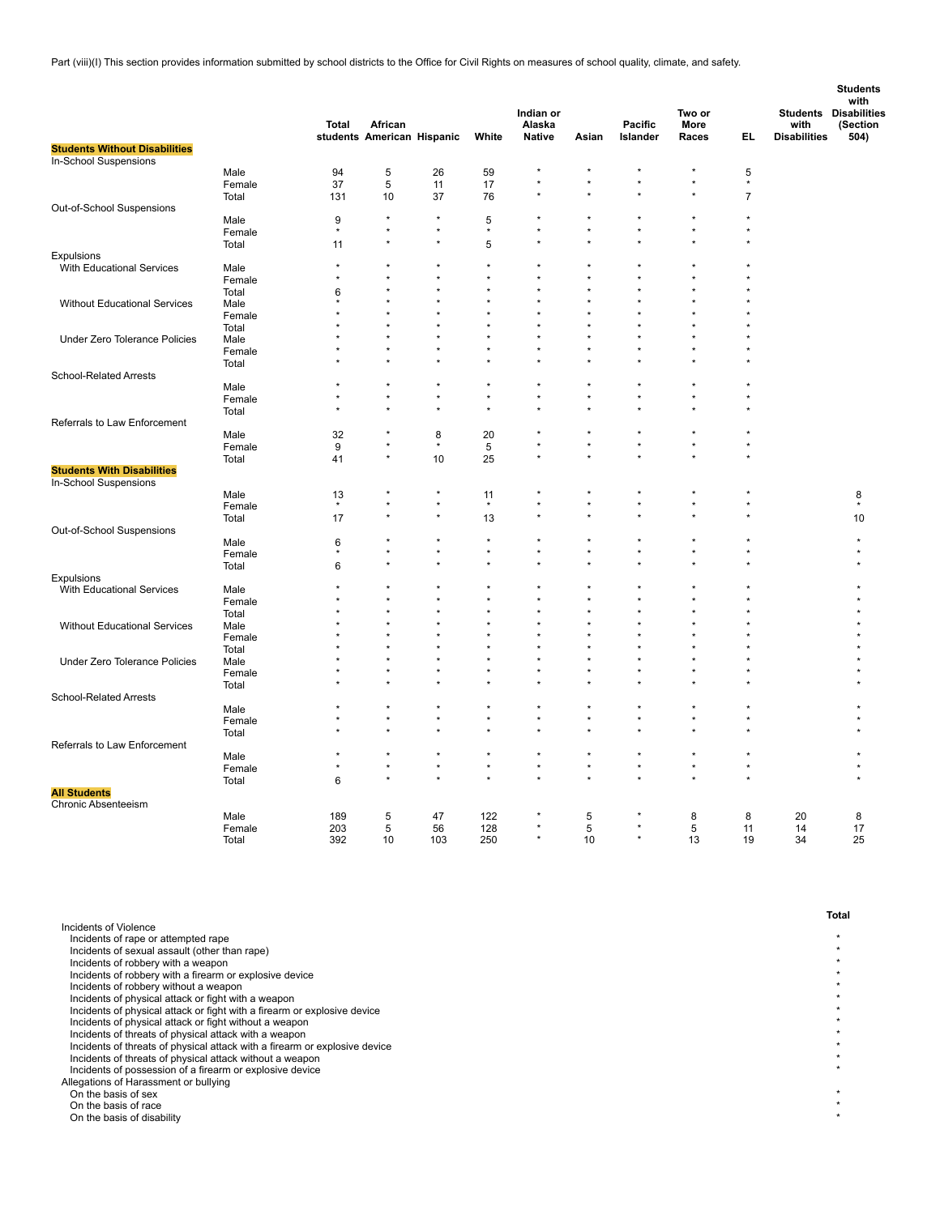Part (viii)(I) This section provides information submitted by school districts to the Office for Civil Rights on measures of school quality, climate, and safety.

|                                                            |        | <b>Total</b> | African                    |         |             | Indian or<br>Alaska  |         | Pacific  | Two or<br>More |                | with                | <b>Students</b><br>with<br><b>Students Disabilities</b><br>(Section |
|------------------------------------------------------------|--------|--------------|----------------------------|---------|-------------|----------------------|---------|----------|----------------|----------------|---------------------|---------------------------------------------------------------------|
| <b>Students Without Disabilities</b>                       |        |              | students American Hispanic |         | White       | <b>Native</b>        | Asian   | Islander | Races          | EL             | <b>Disabilities</b> | 504)                                                                |
| In-School Suspensions                                      |        |              |                            |         |             |                      |         |          |                |                |                     |                                                                     |
|                                                            | Male   | 94           | 5                          | 26      | 59          |                      |         |          |                | 5              |                     |                                                                     |
|                                                            | Female | 37           | 5                          | 11      | 17          | $\star$              |         |          | ×              | $\star$        |                     |                                                                     |
|                                                            | Total  | 131          | 10                         | 37      | 76          |                      |         |          | ×              | $\overline{7}$ |                     |                                                                     |
| Out-of-School Suspensions                                  |        |              |                            |         |             |                      |         |          |                |                |                     |                                                                     |
|                                                            | Male   | 9            | $\star$                    | $\star$ | 5           |                      |         |          |                |                |                     |                                                                     |
|                                                            | Female | $\star$      | $\star$                    | $\star$ | $\star$     | $\star$              |         |          | ×              |                |                     |                                                                     |
|                                                            | Total  | 11           | $\star$                    | $\star$ | 5           | $\ddot{\phantom{0}}$ |         |          |                |                |                     |                                                                     |
| Expulsions                                                 |        |              |                            |         |             |                      |         |          |                |                |                     |                                                                     |
| With Educational Services                                  | Male   | ۸            |                            |         |             |                      |         |          |                |                |                     |                                                                     |
|                                                            | Female | ٠            |                            |         |             |                      |         |          |                |                |                     |                                                                     |
|                                                            | Total  | 6            | $\star$                    |         |             | $\star$              | $\star$ |          |                |                |                     |                                                                     |
| <b>Without Educational Services</b>                        | Male   | $\star$      |                            |         |             | $\star$              |         |          |                |                |                     |                                                                     |
|                                                            | Female |              |                            |         |             |                      |         |          |                |                |                     |                                                                     |
|                                                            | Total  |              |                            |         |             |                      |         |          |                |                |                     |                                                                     |
|                                                            |        |              |                            |         |             |                      |         |          |                |                |                     |                                                                     |
| Under Zero Tolerance Policies                              | Male   |              |                            |         |             |                      |         |          |                |                |                     |                                                                     |
|                                                            | Female |              |                            |         |             |                      |         |          |                |                |                     |                                                                     |
|                                                            | Total  |              |                            |         |             |                      |         |          |                |                |                     |                                                                     |
| School-Related Arrests                                     |        |              |                            |         | $\star$     | $\star$              |         |          |                |                |                     |                                                                     |
|                                                            | Male   | $\star$      | $\star$                    | $\star$ | $\star$     | $\star$              | $\star$ | $\star$  | $\star$        |                |                     |                                                                     |
|                                                            | Female |              |                            | $\star$ | $\star$     |                      |         |          |                |                |                     |                                                                     |
|                                                            | Total  | $\star$      |                            |         |             |                      |         |          |                |                |                     |                                                                     |
| Referrals to Law Enforcement                               |        |              |                            |         |             |                      |         |          |                |                |                     |                                                                     |
|                                                            | Male   | 32           |                            | 8       | 20          |                      |         |          |                |                |                     |                                                                     |
|                                                            | Female | 9            | $\star$                    | $\star$ | $\mathbf 5$ | $\star$              | $\star$ | $\star$  | ×              |                |                     |                                                                     |
|                                                            | Total  | 41           | $\star$                    | 10      | 25          | $\star$              |         |          |                |                |                     |                                                                     |
| <b>Students With Disabilities</b><br>In-School Suspensions |        |              |                            |         |             |                      |         |          |                |                |                     |                                                                     |
|                                                            | Male   | 13           | $\star$                    | $\star$ | 11          |                      |         |          |                |                |                     | 8                                                                   |
|                                                            | Female | $\star$      |                            |         | $\star$     | $\star$              |         |          | ÷              |                |                     | $\star$                                                             |
|                                                            |        |              | $\star$                    | $\star$ |             | $\star$              |         |          |                |                |                     |                                                                     |
|                                                            | Total  | 17           |                            |         | 13          |                      |         |          |                |                |                     | 10                                                                  |
| Out-of-School Suspensions                                  |        |              |                            |         | $\star$     |                      |         |          |                |                |                     |                                                                     |
|                                                            | Male   | 6<br>$\star$ | $\star$                    | $\star$ | $\star$     | $\star$              |         |          | ÷              |                |                     |                                                                     |
|                                                            | Female |              |                            |         |             |                      |         |          |                |                |                     |                                                                     |
|                                                            | Total  | 6            |                            |         |             |                      |         |          |                |                |                     |                                                                     |
| <b>Expulsions</b>                                          |        |              |                            |         |             |                      |         |          |                |                |                     |                                                                     |
| With Educational Services                                  | Male   |              |                            |         |             | $\star$              |         |          |                |                |                     |                                                                     |
|                                                            | Female |              |                            |         |             | $\star$              |         |          |                |                |                     |                                                                     |
|                                                            | Total  |              | $\star$                    |         |             |                      |         |          |                |                |                     |                                                                     |
| Without Educational Services                               | Male   |              |                            |         |             |                      |         |          |                |                |                     |                                                                     |
|                                                            | Female |              |                            |         |             |                      |         |          |                |                |                     |                                                                     |
|                                                            | Total  |              |                            |         |             |                      |         |          |                |                |                     |                                                                     |
| Under Zero Tolerance Policies                              | Male   |              |                            |         |             | $\star$              |         |          |                |                |                     |                                                                     |
|                                                            | Female |              |                            |         |             | $\star$              |         |          | ×              |                |                     |                                                                     |
|                                                            | Total  |              |                            |         |             | $\star$              |         |          |                |                |                     |                                                                     |
| School-Related Arrests                                     |        |              |                            |         |             |                      |         |          |                |                |                     |                                                                     |
|                                                            | Male   |              |                            |         |             |                      |         |          |                |                |                     |                                                                     |
|                                                            | Female | $\star$      | $\star$                    | $\star$ | $\star$     | $\star$              | $\star$ | $\star$  | $\star$        |                |                     |                                                                     |
|                                                            | Total  |              |                            |         |             |                      |         |          |                |                |                     |                                                                     |
| Referrals to Law Enforcement                               |        |              |                            |         |             |                      |         |          |                |                |                     |                                                                     |
|                                                            | Male   | $\star$      | $\star$                    | $\star$ | $\star$     | $\star$              |         |          | $\star$        |                |                     |                                                                     |
|                                                            | Female |              |                            |         | $\star$     | $\star$              |         |          |                |                |                     |                                                                     |
|                                                            | Total  | 6            | ٠                          |         |             |                      |         |          |                |                |                     |                                                                     |
| <b>All Students</b>                                        |        |              |                            |         |             |                      |         |          |                |                |                     |                                                                     |
| Chronic Absenteeism                                        |        |              |                            |         |             |                      |         |          |                |                |                     |                                                                     |
|                                                            | Male   | 189          | 5                          | 47      | 122         |                      | 5       |          | 8              | 8              | 20                  | 8                                                                   |
|                                                            | Female | 203          | 5                          | 56      | 128         | $\star$              | 5       | $\star$  | 5              | 11             | 14                  | 17                                                                  |
|                                                            | Total  | 392          | 10                         | 103     | 250         | $\star$              | 10      |          | 13             | 19             | 34                  | 25                                                                  |

|                                                                            | Total |
|----------------------------------------------------------------------------|-------|
| Incidents of Violence                                                      |       |
| Incidents of rape or attempted rape                                        |       |
| Incidents of sexual assault (other than rape)                              |       |
| Incidents of robbery with a weapon                                         |       |
| Incidents of robbery with a firearm or explosive device                    |       |
| Incidents of robbery without a weapon                                      |       |
| Incidents of physical attack or fight with a weapon                        |       |
| Incidents of physical attack or fight with a firearm or explosive device   |       |
| Incidents of physical attack or fight without a weapon                     |       |
| Incidents of threats of physical attack with a weapon                      |       |
| Incidents of threats of physical attack with a firearm or explosive device |       |
| Incidents of threats of physical attack without a weapon                   |       |
| Incidents of possession of a firearm or explosive device                   |       |
| Allegations of Harassment or bullying                                      |       |
| On the basis of sex                                                        |       |
| On the basis of race                                                       |       |
| On the basis of disability                                                 |       |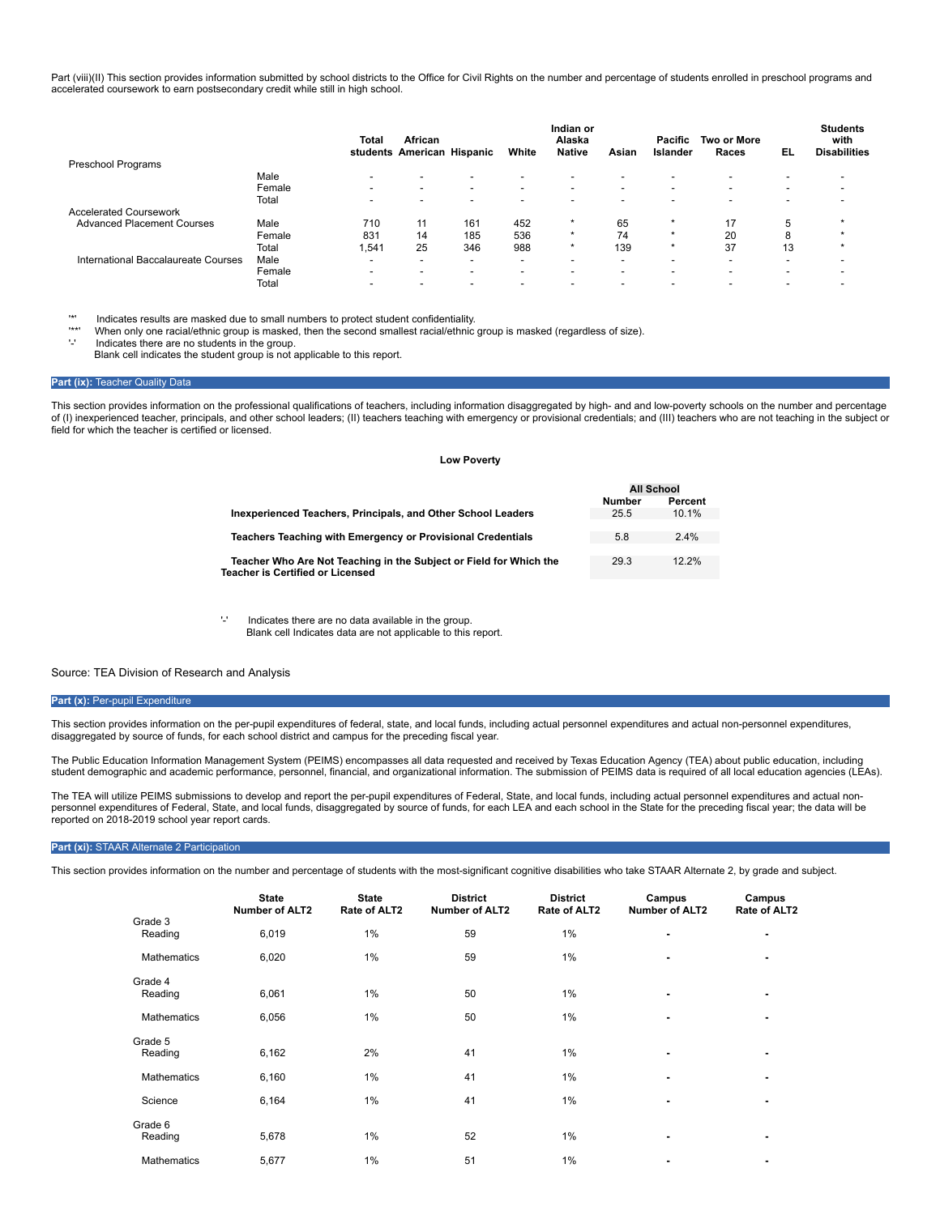Part (viii)(II) This section provides information submitted by school districts to the Office for Civil Rights on the number and percentage of students enrolled in preschool programs and accelerated coursework to earn postsecondary credit while still in high school.

|                                     |        | Total                    | African<br>students American Hispanic |                          | White                    | Indian or<br>Alaska<br><b>Native</b> | Asian                    | <b>Pacific</b><br>Islander | <b>Two or More</b><br>Races | EL                       | <b>Students</b><br>with<br><b>Disabilities</b> |
|-------------------------------------|--------|--------------------------|---------------------------------------|--------------------------|--------------------------|--------------------------------------|--------------------------|----------------------------|-----------------------------|--------------------------|------------------------------------------------|
| Preschool Programs                  |        |                          |                                       |                          |                          |                                      |                          |                            |                             |                          |                                                |
|                                     | Male   | $\overline{\phantom{a}}$ | $\overline{\phantom{0}}$              | $\overline{\phantom{a}}$ | $\overline{\phantom{0}}$ | $\overline{\phantom{0}}$             | $\overline{\phantom{0}}$ | $\blacksquare$             | $\overline{\phantom{0}}$    | $\overline{\phantom{0}}$ |                                                |
|                                     | Female | $\overline{\phantom{0}}$ | -                                     | $\overline{\phantom{0}}$ | $\overline{\phantom{0}}$ | $\overline{\phantom{0}}$             | $\sim$                   | $\overline{\phantom{0}}$   | $\overline{\phantom{0}}$    | $\overline{\phantom{0}}$ |                                                |
|                                     | Total  | $\blacksquare$           | $\overline{\phantom{0}}$              | $\overline{\phantom{0}}$ | $\overline{\phantom{0}}$ | $\overline{\phantom{0}}$             | $\overline{\phantom{0}}$ | $\overline{\phantom{0}}$   | $\overline{\phantom{0}}$    | $\overline{\phantom{0}}$ |                                                |
| <b>Accelerated Coursework</b>       |        |                          |                                       |                          |                          |                                      |                          |                            |                             |                          |                                                |
| <b>Advanced Placement Courses</b>   | Male   | 710                      |                                       | 161                      | 452                      | $\star$                              | 65                       | $\star$                    | 17                          |                          |                                                |
|                                     | Female | 831                      | 14                                    | 185                      | 536                      | $\star$                              | 74                       | $\star$                    | 20                          |                          |                                                |
|                                     | Total  | 1,541                    | 25                                    | 346                      | 988                      | $\star$                              | 139                      | $\star$                    | 37                          | 13                       |                                                |
| International Baccalaureate Courses | Male   | $\overline{\phantom{a}}$ | -                                     | $\overline{\phantom{a}}$ | $\overline{\phantom{a}}$ | $\overline{\phantom{0}}$             | $\overline{\phantom{0}}$ | $\blacksquare$             | $\overline{\phantom{0}}$    |                          |                                                |
|                                     | Female | -                        | -                                     | $\overline{\phantom{a}}$ | $\overline{\phantom{a}}$ | $\overline{\phantom{0}}$             | $\overline{\phantom{0}}$ | $\overline{\phantom{0}}$   | $\overline{\phantom{0}}$    | $\overline{\phantom{0}}$ |                                                |
|                                     | Total  |                          |                                       |                          |                          |                                      |                          |                            |                             |                          |                                                |

'\*' Indicates results are masked due to small numbers to protect student confidentiality.

\*\*' When only one racial/ethnic group is masked, then the second smallest racial/ethnic group is masked (regardless of size).<br>'.' Indicates there are no students in the group.

Indicates there are no students in the group.

Blank cell indicates the student group is not applicable to this report.

## **Part (ix): Teacher Quality Data**

This section provides information on the professional qualifications of teachers, including information disaggregated by high- and and low-poverty schools on the number and percentage of (I) inexperienced teacher, principals, and other school leaders; (II) teachers teaching with emergency or provisional credentials; and (III) teachers who are not teaching in the subject or field for which the teacher is certified or licensed.

#### **Low Poverty**

|                                                                    | All School    |          |
|--------------------------------------------------------------------|---------------|----------|
|                                                                    | <b>Number</b> | Percent  |
| Inexperienced Teachers, Principals, and Other School Leaders       | 25.5          | 10.1%    |
|                                                                    |               |          |
| Teachers Teaching with Emergency or Provisional Credentials        | 5.8           | 2.4%     |
|                                                                    |               |          |
| Teacher Who Are Not Teaching in the Subject or Field for Which the | 29.3          | $12.2\%$ |
| <b>Teacher is Certified or Licensed</b>                            |               |          |

'-' Indicates there are no data available in the group. Blank cell Indicates data are not applicable to this report.

## Source: TEA Division of Research and Analysis

#### Part (x): Per-pupil Expenditure

This section provides information on the per-pupil expenditures of federal, state, and local funds, including actual personnel expenditures and actual non-personnel expenditures, disaggregated by source of funds, for each school district and campus for the preceding fiscal year.

The Public Education Information Management System (PEIMS) encompasses all data requested and received by Texas Education Agency (TEA) about public education, including student demographic and academic performance, personnel, financial, and organizational information. The submission of PEIMS data is required of all local education agencies (LEAs).

The TEA will utilize PEIMS submissions to develop and report the per-pupil expenditures of Federal, State, and local funds, including actual personnel expenditures and actual non-<br>personnel expenditures of Federal, State, reported on 2018-2019 school year report cards.

#### **Part (xi):** STAAR Alternate 2 Participation

This section provides information on the number and percentage of students with the most-significant cognitive disabilities who take STAAR Alternate 2, by grade and subject.

|                    | <b>State</b><br><b>Number of ALT2</b> | <b>State</b><br>Rate of ALT2 | <b>District</b><br><b>Number of ALT2</b> | <b>District</b><br>Rate of ALT2 | Campus<br><b>Number of ALT2</b> | Campus<br>Rate of ALT2 |
|--------------------|---------------------------------------|------------------------------|------------------------------------------|---------------------------------|---------------------------------|------------------------|
| Grade 3<br>Reading | 6,019                                 | 1%                           | 59                                       | 1%                              | ٠                               | ۰                      |
| <b>Mathematics</b> | 6,020                                 | $1\%$                        | 59                                       | 1%                              | ٠                               | ۰                      |
| Grade 4<br>Reading | 6,061                                 | 1%                           | 50                                       | 1%                              |                                 | ۰                      |
| <b>Mathematics</b> | 6,056                                 | 1%                           | 50                                       | 1%                              | ٠                               | ۰                      |
| Grade 5<br>Reading | 6,162                                 | 2%                           | 41                                       | 1%                              |                                 |                        |
| <b>Mathematics</b> | 6,160                                 | $1\%$                        | 41                                       | 1%                              | ٠                               |                        |
| Science            | 6,164                                 | $1\%$                        | 41                                       | 1%                              | ۰                               | ۰                      |
| Grade 6<br>Reading | 5,678                                 | $1\%$                        | 52                                       | 1%                              |                                 | ۰                      |
| <b>Mathematics</b> | 5,677                                 | 1%                           | 51                                       | 1%                              | ۰                               | ۰                      |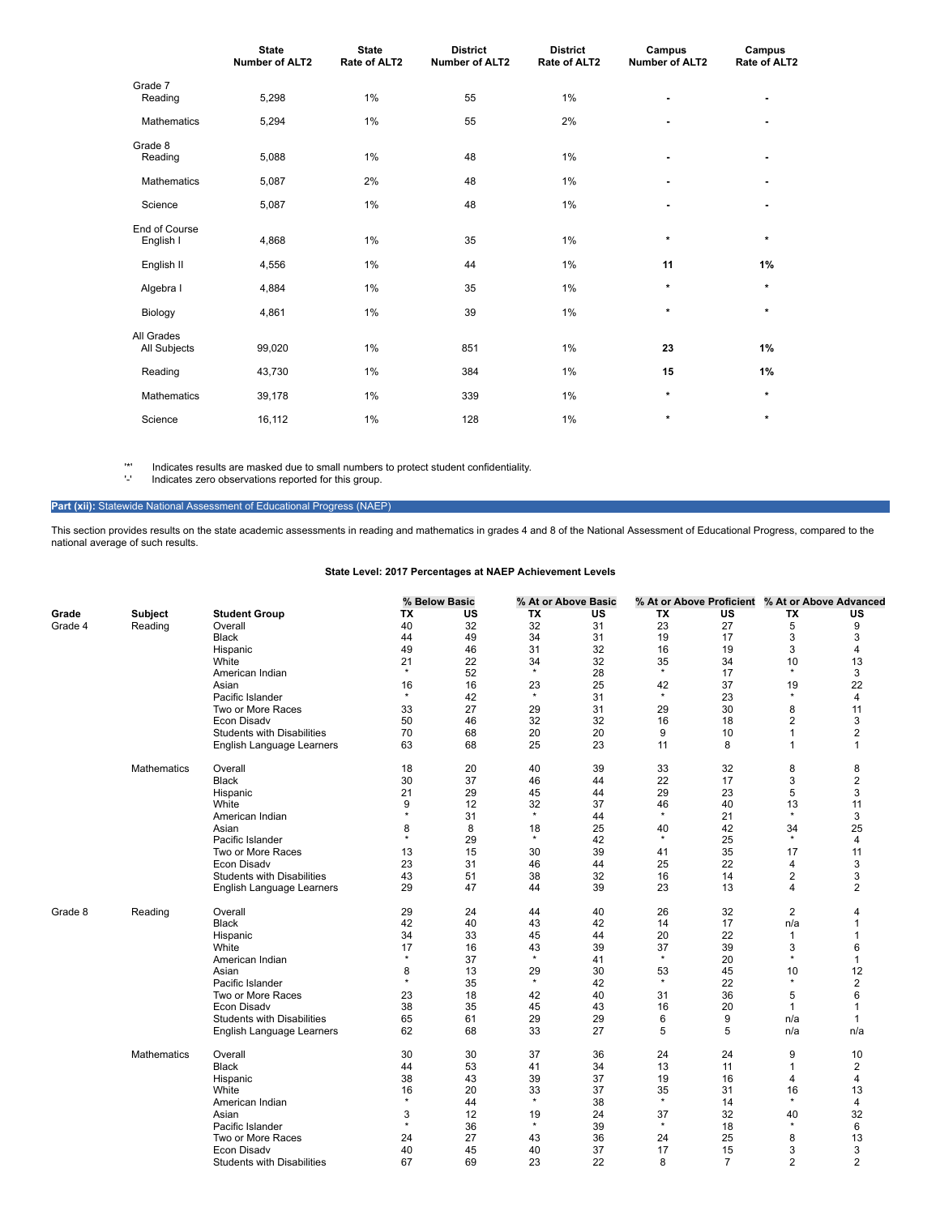|                            | <b>State</b><br><b>Number of ALT2</b> | <b>State</b><br>Rate of ALT2 | <b>District</b><br><b>Number of ALT2</b> | <b>District</b><br>Rate of ALT2 | Campus<br><b>Number of ALT2</b> | Campus<br>Rate of ALT2 |
|----------------------------|---------------------------------------|------------------------------|------------------------------------------|---------------------------------|---------------------------------|------------------------|
| Grade 7<br>Reading         | 5,298                                 | 1%                           | 55                                       | 1%                              | ٠                               | ٠                      |
| <b>Mathematics</b>         | 5,294                                 | 1%                           | 55                                       | 2%                              | ۰                               | ٠                      |
| Grade 8<br>Reading         | 5,088                                 | 1%                           | 48                                       | 1%                              | ۰                               | ٠                      |
| <b>Mathematics</b>         | 5,087                                 | 2%                           | 48                                       | 1%                              | ٠                               |                        |
| Science                    | 5,087                                 | 1%                           | 48                                       | 1%                              | ۰                               | ٠                      |
| End of Course<br>English I | 4,868                                 | 1%                           | 35                                       | 1%                              | $\star$                         | $\star$                |
| English II                 | 4,556                                 | 1%                           | 44                                       | 1%                              | 11                              | 1%                     |
| Algebra I                  | 4,884                                 | 1%                           | 35                                       | 1%                              | $\star$                         | $\star$                |
| Biology                    | 4,861                                 | 1%                           | 39                                       | 1%                              | $\star$                         | $\star$                |
| All Grades<br>All Subjects | 99,020                                | 1%                           | 851                                      | 1%                              | 23                              | 1%                     |
| Reading                    | 43,730                                | 1%                           | 384                                      | 1%                              | 15                              | 1%                     |
| <b>Mathematics</b>         | 39,178                                | 1%                           | 339                                      | 1%                              | $\star$                         | $\star$                |
| Science                    | 16,112                                | 1%                           | 128                                      | 1%                              | $\star$                         | $\star$                |

'\*' Indicates results are masked due to small numbers to protect student confidentiality.

'-' Indicates zero observations reported for this group.

Part (xii): Statewide National Assessment of Educational Progress (NAEP)

This section provides results on the state academic assessments in reading and mathematics in grades 4 and 8 of the National Assessment of Educational Progress, compared to the national average of such results.

|         |                    |                                                  |               | % Below Basic |               | % At or Above Basic |               | % At or Above Proficient % At or Above Advanced |                     |                |
|---------|--------------------|--------------------------------------------------|---------------|---------------|---------------|---------------------|---------------|-------------------------------------------------|---------------------|----------------|
| Grade   | Subject            | <b>Student Group</b>                             | TX            | <b>US</b>     | TX            | <b>US</b>           | TX            | US                                              | TX                  | <b>US</b>      |
| Grade 4 | Reading            | Overall                                          | 40            | 32            | 32            | 31                  | 23            | 27                                              | 5                   | 9              |
|         |                    | <b>Black</b>                                     | 44            | 49            | 34            | 31                  | 19            | 17                                              | 3                   | 3              |
|         |                    | Hispanic                                         | 49            | 46            | 31            | 32                  | 16            | 19                                              | 3                   | 4              |
|         |                    | White                                            | 21            | 22            | 34            | 32                  | 35            | 34                                              | 10                  | 13             |
|         |                    | American Indian                                  | $\star$       | 52            | $\star$       | 28                  | $\star$       | 17                                              | $\star$             | 3              |
|         |                    | Asian                                            | 16            | 16            | 23            | 25                  | 42            | 37                                              | 19                  | 22             |
|         |                    | Pacific Islander                                 | $\star$       | 42            | $\star$       | 31                  | $\star$       | 23                                              | $\star$             | 4              |
|         |                    | Two or More Races                                | 33            | 27            | 29            | 31                  | 29            | 30                                              | 8                   | 11             |
|         |                    | Econ Disady                                      | 50            | 46            | 32            | 32                  | 16            | 18                                              | $\overline{2}$      | 3              |
|         |                    | <b>Students with Disabilities</b>                | 70            | 68            | 20            | 20                  | 9             | 10                                              | $\mathbf{1}$        | $\overline{2}$ |
|         |                    | English Language Learners                        | 63            | 68            | 25            | 23                  | 11            | 8                                               | $\mathbf{1}$        | $\mathbf{1}$   |
|         | <b>Mathematics</b> | Overall                                          | 18            | 20            | 40            | 39                  | 33            | 32                                              | 8                   | 8              |
|         |                    | <b>Black</b>                                     | 30            | 37            | 46            | 44                  | 22            | 17                                              | 3                   | $\overline{2}$ |
|         |                    | Hispanic                                         | 21            | 29            | 45            | 44                  | 29            | 23                                              | 5                   | 3              |
|         |                    | White                                            | 9             | 12            | 32            | 37                  | 46            | 40                                              | 13                  | 11             |
|         |                    | American Indian                                  | $\star$       | 31            | $\star$       | 44                  | $\star$       | 21                                              | $\star$             | 3              |
|         |                    | Asian                                            | 8             | 8             | 18            | 25                  | 40            | 42                                              | 34                  | 25             |
|         |                    | Pacific Islander                                 | $\star$       | 29            | $\star$       | 42                  | $\star$       | 25                                              | $\star$             | 4              |
|         |                    | Two or More Races                                | 13            | 15            | 30            | 39                  | 41            | 35                                              | 17                  | 11             |
|         |                    | Econ Disadv                                      | 23            | 31            | 46            | 44                  | 25            | 22                                              | 4                   | 3              |
|         |                    | <b>Students with Disabilities</b>                | 43            | 51            | 38            | 32                  | 16            | 14                                              | 2                   | 3              |
|         |                    | English Language Learners                        | 29            | 47            | 44            | 39                  | 23            | 13                                              | 4                   | 2              |
| Grade 8 | Reading            | Overall                                          | 29            | 24            | 44            | 40                  | 26            | 32                                              | $\overline{2}$      | 4              |
|         |                    | <b>Black</b>                                     | 42            | 40            | 43            | 42                  | 14            | 17                                              | n/a                 | 1              |
|         |                    | Hispanic                                         | 34            | 33            | 45            | 44                  | 20            | 22                                              | $\mathbf{1}$        | 1              |
|         |                    | White                                            | 17            | 16            | 43            | 39                  | 37            | 39                                              | 3                   | 6              |
|         |                    | American Indian                                  | $\star$       | 37            | $\star$       | 41                  | $\star$       | 20                                              | $\star$             | 1              |
|         |                    | Asian                                            | 8             | 13            | 29            | 30                  | 53            | 45                                              | 10<br>$\star$       | 12             |
|         |                    | Pacific Islander                                 | $\star$       | 35            | $\star$       | 42                  | $\star$       | 22                                              |                     | $\overline{2}$ |
|         |                    | Two or More Races                                | 23            | 18            | 42            | 40                  | 31            | 36                                              | 5                   | 6              |
|         |                    | Econ Disadv                                      | 38            | 35            | 45            | 43                  | 16            | 20                                              | 1                   | 1              |
|         |                    | <b>Students with Disabilities</b>                | 65            | 61            | 29            | 29                  | 6             | 9                                               | n/a                 | 1              |
|         |                    | English Language Learners                        | 62            | 68            | 33            | 27                  | 5             | 5                                               | n/a                 | n/a            |
|         | Mathematics        | Overall                                          | 30            | 30            | 37            | 36                  | 24            | 24                                              | 9                   | 10             |
|         |                    | <b>Black</b>                                     | 44            | 53            | 41            | 34                  | 13            | 11                                              | $\mathbf{1}$        | 2              |
|         |                    | Hispanic                                         | 38            | 43            | 39            | 37                  | 19            | 16                                              | 4                   | 4              |
|         |                    | White                                            | 16<br>$\star$ | 20            | 33<br>$\star$ | 37                  | 35<br>$\star$ | 31                                              | 16<br>$\star$       | 13             |
|         |                    | American Indian                                  |               | 44            |               | 38                  |               | 14                                              |                     | 4              |
|         |                    | Asian                                            | 3<br>$\star$  | 12            | 19<br>$\star$ | 24<br>39            | 37<br>$\star$ | 32                                              | 40<br>$\star$       | 32<br>6        |
|         |                    | Pacific Islander                                 |               | 36            |               |                     |               | 18                                              |                     |                |
|         |                    | Two or More Races                                | 24            | 27            | 43            | 36<br>37            | 24            | 25                                              | 8                   | 13             |
|         |                    | Econ Disadv<br><b>Students with Disabilities</b> | 40<br>67      | 45<br>69      | 40<br>23      | 22                  | 17<br>8       | 15<br>$\overline{7}$                            | 3<br>$\overline{2}$ | 3<br>2         |
|         |                    |                                                  |               |               |               |                     |               |                                                 |                     |                |